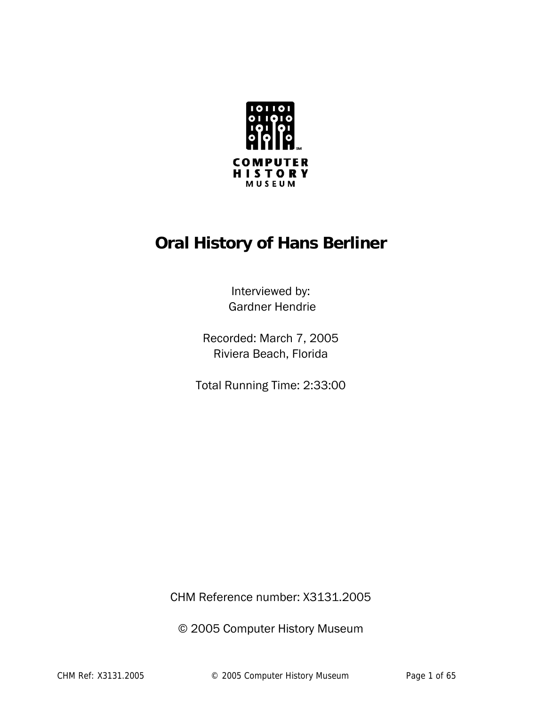

# **Oral History of Hans Berliner**

Interviewed by: Gardner Hendrie

Recorded: March 7, 2005 Riviera Beach, Florida

Total Running Time: 2:33:00

CHM Reference number: X3131.2005

© 2005 Computer History Museum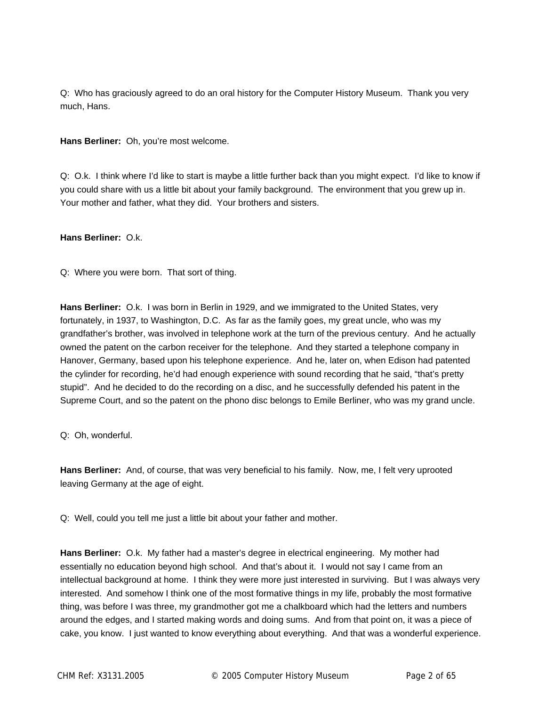Q: Who has graciously agreed to do an oral history for the Computer History Museum. Thank you very much, Hans.

**Hans Berliner:** Oh, you're most welcome.

Q: O.k. I think where I'd like to start is maybe a little further back than you might expect. I'd like to know if you could share with us a little bit about your family background. The environment that you grew up in. Your mother and father, what they did. Your brothers and sisters.

## **Hans Berliner:** O.k.

Q: Where you were born. That sort of thing.

**Hans Berliner:** O.k. I was born in Berlin in 1929, and we immigrated to the United States, very fortunately, in 1937, to Washington, D.C. As far as the family goes, my great uncle, who was my grandfather's brother, was involved in telephone work at the turn of the previous century. And he actually owned the patent on the carbon receiver for the telephone. And they started a telephone company in Hanover, Germany, based upon his telephone experience. And he, later on, when Edison had patented the cylinder for recording, he'd had enough experience with sound recording that he said, "that's pretty stupid". And he decided to do the recording on a disc, and he successfully defended his patent in the Supreme Court, and so the patent on the phono disc belongs to Emile Berliner, who was my grand uncle.

Q: Oh, wonderful.

**Hans Berliner:** And, of course, that was very beneficial to his family. Now, me, I felt very uprooted leaving Germany at the age of eight.

Q: Well, could you tell me just a little bit about your father and mother.

**Hans Berliner:** O.k. My father had a master's degree in electrical engineering. My mother had essentially no education beyond high school. And that's about it. I would not say I came from an intellectual background at home. I think they were more just interested in surviving. But I was always very interested. And somehow I think one of the most formative things in my life, probably the most formative thing, was before I was three, my grandmother got me a chalkboard which had the letters and numbers around the edges, and I started making words and doing sums. And from that point on, it was a piece of cake, you know. I just wanted to know everything about everything. And that was a wonderful experience.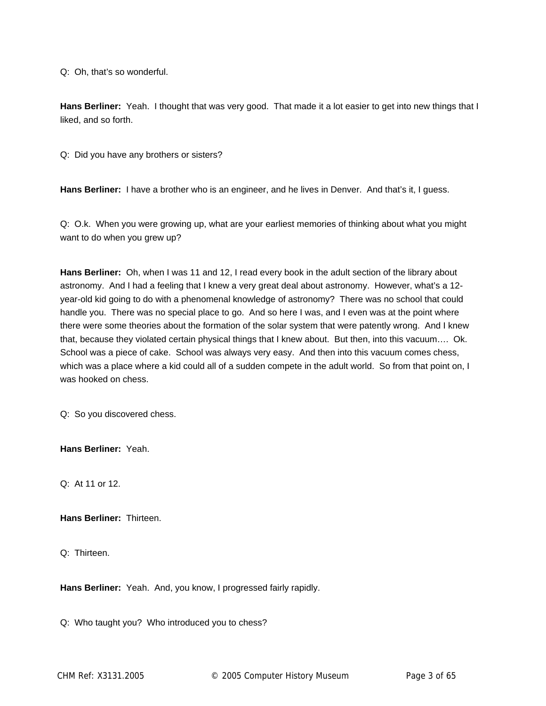Q: Oh, that's so wonderful.

**Hans Berliner:** Yeah. I thought that was very good. That made it a lot easier to get into new things that I liked, and so forth.

Q: Did you have any brothers or sisters?

**Hans Berliner:** I have a brother who is an engineer, and he lives in Denver. And that's it, I guess.

Q: O.k. When you were growing up, what are your earliest memories of thinking about what you might want to do when you grew up?

**Hans Berliner:** Oh, when I was 11 and 12, I read every book in the adult section of the library about astronomy. And I had a feeling that I knew a very great deal about astronomy. However, what's a 12 year-old kid going to do with a phenomenal knowledge of astronomy? There was no school that could handle you. There was no special place to go. And so here I was, and I even was at the point where there were some theories about the formation of the solar system that were patently wrong. And I knew that, because they violated certain physical things that I knew about. But then, into this vacuum…. Ok. School was a piece of cake. School was always very easy. And then into this vacuum comes chess, which was a place where a kid could all of a sudden compete in the adult world. So from that point on, I was hooked on chess.

Q: So you discovered chess.

**Hans Berliner:** Yeah.

Q: At 11 or 12.

**Hans Berliner:** Thirteen.

Q: Thirteen.

**Hans Berliner:** Yeah. And, you know, I progressed fairly rapidly.

Q: Who taught you? Who introduced you to chess?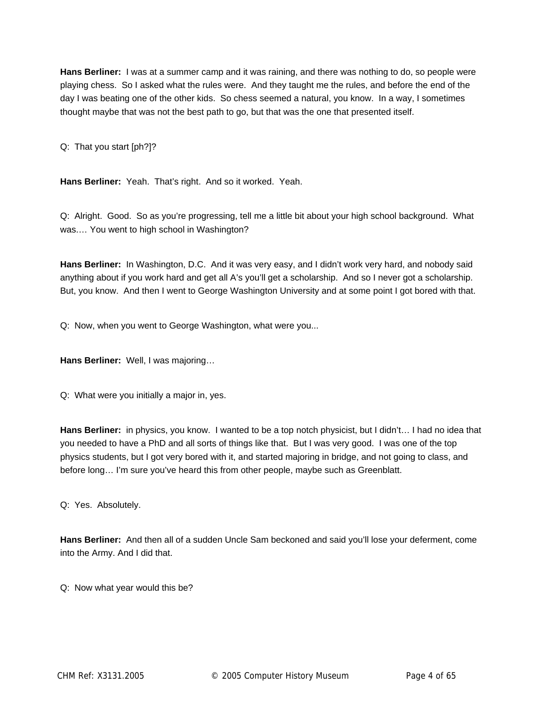**Hans Berliner:** I was at a summer camp and it was raining, and there was nothing to do, so people were playing chess. So I asked what the rules were. And they taught me the rules, and before the end of the day I was beating one of the other kids. So chess seemed a natural, you know. In a way, I sometimes thought maybe that was not the best path to go, but that was the one that presented itself.

Q: That you start [ph?]?

**Hans Berliner:** Yeah. That's right. And so it worked. Yeah.

Q: Alright. Good. So as you're progressing, tell me a little bit about your high school background. What was.… You went to high school in Washington?

**Hans Berliner:** In Washington, D.C. And it was very easy, and I didn't work very hard, and nobody said anything about if you work hard and get all A's you'll get a scholarship. And so I never got a scholarship. But, you know. And then I went to George Washington University and at some point I got bored with that.

Q: Now, when you went to George Washington, what were you...

**Hans Berliner:** Well, I was majoring…

Q: What were you initially a major in, yes.

**Hans Berliner:** in physics, you know. I wanted to be a top notch physicist, but I didn't… I had no idea that you needed to have a PhD and all sorts of things like that. But I was very good. I was one of the top physics students, but I got very bored with it, and started majoring in bridge, and not going to class, and before long… I'm sure you've heard this from other people, maybe such as Greenblatt.

Q: Yes. Absolutely.

**Hans Berliner:** And then all of a sudden Uncle Sam beckoned and said you'll lose your deferment, come into the Army. And I did that.

Q: Now what year would this be?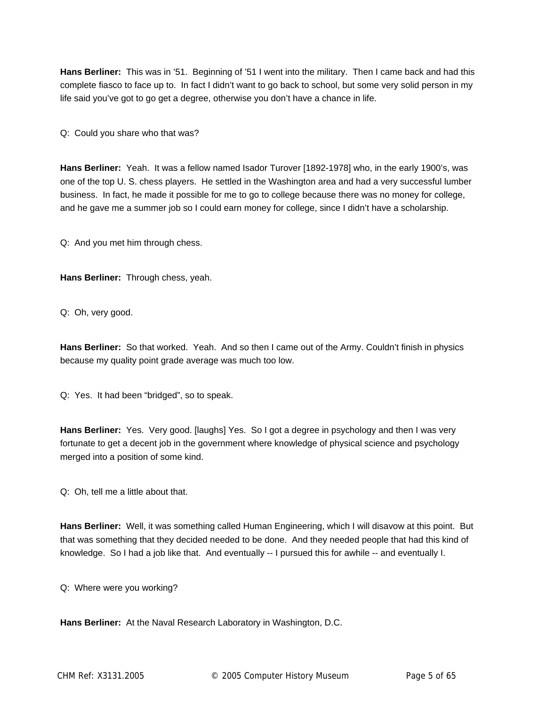**Hans Berliner:** This was in '51. Beginning of '51 I went into the military. Then I came back and had this complete fiasco to face up to. In fact I didn't want to go back to school, but some very solid person in my life said you've got to go get a degree, otherwise you don't have a chance in life.

Q: Could you share who that was?

**Hans Berliner:** Yeah. It was a fellow named Isador Turover [1892-1978] who, in the early 1900's, was one of the top U. S. chess players. He settled in the Washington area and had a very successful lumber business. In fact, he made it possible for me to go to college because there was no money for college, and he gave me a summer job so I could earn money for college, since I didn't have a scholarship.

Q: And you met him through chess.

**Hans Berliner:** Through chess, yeah.

Q: Oh, very good.

**Hans Berliner:** So that worked. Yeah. And so then I came out of the Army. Couldn't finish in physics because my quality point grade average was much too low.

Q: Yes. It had been "bridged", so to speak.

**Hans Berliner:** Yes. Very good. [laughs] Yes. So I got a degree in psychology and then I was very fortunate to get a decent job in the government where knowledge of physical science and psychology merged into a position of some kind.

Q: Oh, tell me a little about that.

**Hans Berliner:** Well, it was something called Human Engineering, which I will disavow at this point. But that was something that they decided needed to be done. And they needed people that had this kind of knowledge. So I had a job like that. And eventually -- I pursued this for awhile -- and eventually I.

Q: Where were you working?

**Hans Berliner:** At the Naval Research Laboratory in Washington, D.C.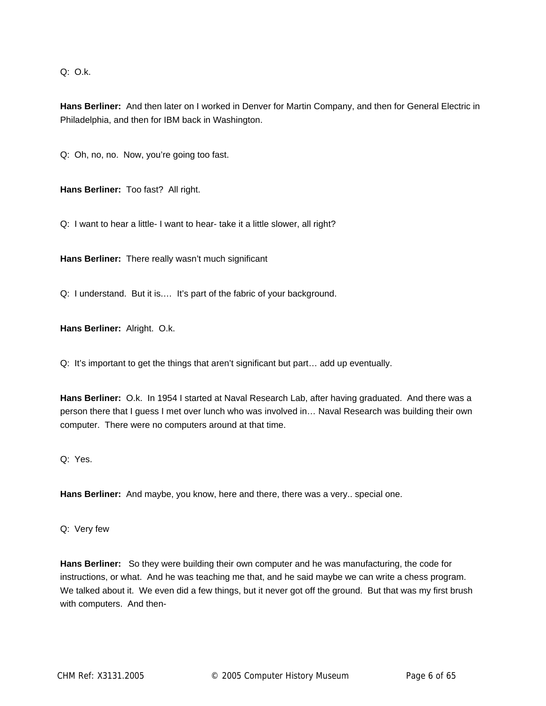Q: O.k.

**Hans Berliner:** And then later on I worked in Denver for Martin Company, and then for General Electric in Philadelphia, and then for IBM back in Washington.

Q: Oh, no, no. Now, you're going too fast.

**Hans Berliner:** Too fast? All right.

Q: I want to hear a little- I want to hear- take it a little slower, all right?

**Hans Berliner:** There really wasn't much significant

Q: I understand. But it is.… It's part of the fabric of your background.

**Hans Berliner:** Alright. O.k.

Q: It's important to get the things that aren't significant but part… add up eventually.

**Hans Berliner:** O.k. In 1954 I started at Naval Research Lab, after having graduated. And there was a person there that I guess I met over lunch who was involved in… Naval Research was building their own computer. There were no computers around at that time.

Q: Yes.

**Hans Berliner:** And maybe, you know, here and there, there was a very.. special one.

Q: Very few

**Hans Berliner:** So they were building their own computer and he was manufacturing, the code for instructions, or what. And he was teaching me that, and he said maybe we can write a chess program. We talked about it. We even did a few things, but it never got off the ground. But that was my first brush with computers. And then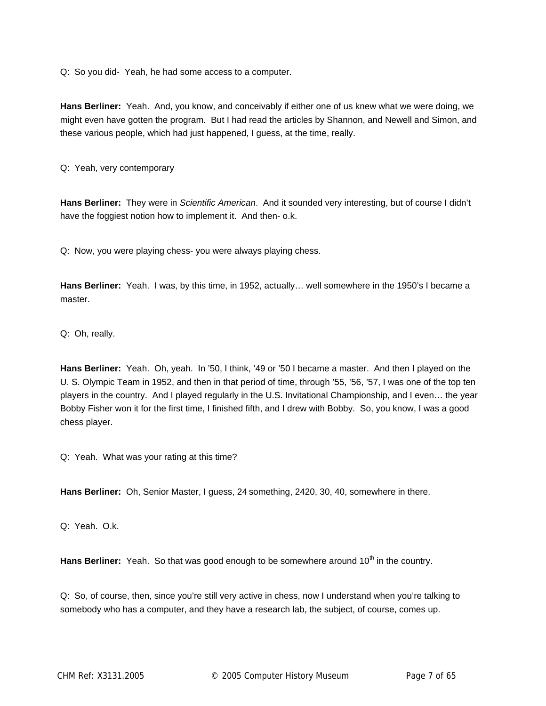Q: So you did- Yeah, he had some access to a computer.

**Hans Berliner:** Yeah. And, you know, and conceivably if either one of us knew what we were doing, we might even have gotten the program. But I had read the articles by Shannon, and Newell and Simon, and these various people, which had just happened, I guess, at the time, really.

Q: Yeah, very contemporary

**Hans Berliner:** They were in *Scientific American*. And it sounded very interesting, but of course I didn't have the foggiest notion how to implement it. And then- o.k.

Q: Now, you were playing chess- you were always playing chess.

**Hans Berliner:** Yeah. I was, by this time, in 1952, actually… well somewhere in the 1950's I became a master.

Q: Oh, really.

**Hans Berliner:** Yeah. Oh, yeah. In '50, I think, '49 or '50 I became a master. And then I played on the U. S. Olympic Team in 1952, and then in that period of time, through '55, '56, '57, I was one of the top ten players in the country. And I played regularly in the U.S. Invitational Championship, and I even… the year Bobby Fisher won it for the first time, I finished fifth, and I drew with Bobby. So, you know, I was a good chess player.

Q: Yeah. What was your rating at this time?

**Hans Berliner:** Oh, Senior Master, I guess, 24 something, 2420, 30, 40, somewhere in there.

Q: Yeah. O.k.

Hans Berliner: Yeah. So that was good enough to be somewhere around 10<sup>th</sup> in the country.

Q: So, of course, then, since you're still very active in chess, now I understand when you're talking to somebody who has a computer, and they have a research lab, the subject, of course, comes up.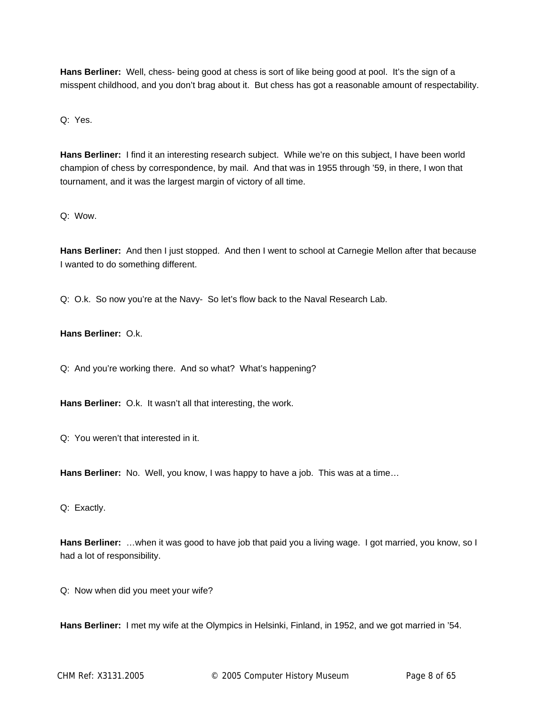**Hans Berliner:** Well, chess- being good at chess is sort of like being good at pool. It's the sign of a misspent childhood, and you don't brag about it. But chess has got a reasonable amount of respectability.

Q: Yes.

**Hans Berliner:** I find it an interesting research subject. While we're on this subject, I have been world champion of chess by correspondence, by mail. And that was in 1955 through '59, in there, I won that tournament, and it was the largest margin of victory of all time.

Q: Wow.

**Hans Berliner:** And then I just stopped. And then I went to school at Carnegie Mellon after that because I wanted to do something different.

Q: O.k. So now you're at the Navy- So let's flow back to the Naval Research Lab.

**Hans Berliner:** O.k.

Q: And you're working there. And so what? What's happening?

**Hans Berliner:** O.k. It wasn't all that interesting, the work.

Q: You weren't that interested in it.

**Hans Berliner:** No. Well, you know, I was happy to have a job. This was at a time…

Q: Exactly.

**Hans Berliner:** …when it was good to have job that paid you a living wage. I got married, you know, so I had a lot of responsibility.

Q: Now when did you meet your wife?

**Hans Berliner:** I met my wife at the Olympics in Helsinki, Finland, in 1952, and we got married in '54.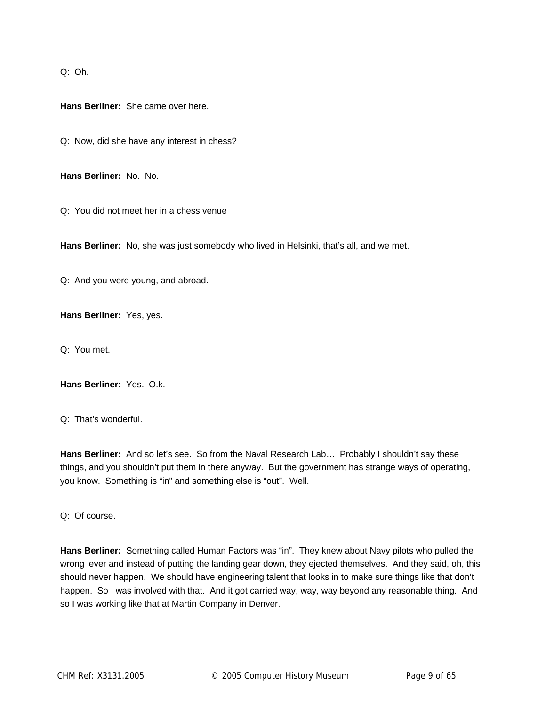Q: Oh.

**Hans Berliner:** She came over here.

Q: Now, did she have any interest in chess?

**Hans Berliner:** No. No.

Q: You did not meet her in a chess venue

**Hans Berliner:** No, she was just somebody who lived in Helsinki, that's all, and we met.

Q: And you were young, and abroad.

**Hans Berliner:** Yes, yes.

Q: You met.

**Hans Berliner:** Yes. O.k.

Q: That's wonderful.

**Hans Berliner:** And so let's see. So from the Naval Research Lab… Probably I shouldn't say these things, and you shouldn't put them in there anyway. But the government has strange ways of operating, you know. Something is "in" and something else is "out". Well.

Q: Of course.

**Hans Berliner:** Something called Human Factors was "in". They knew about Navy pilots who pulled the wrong lever and instead of putting the landing gear down, they ejected themselves. And they said, oh, this should never happen. We should have engineering talent that looks in to make sure things like that don't happen. So I was involved with that. And it got carried way, way, way beyond any reasonable thing. And so I was working like that at Martin Company in Denver.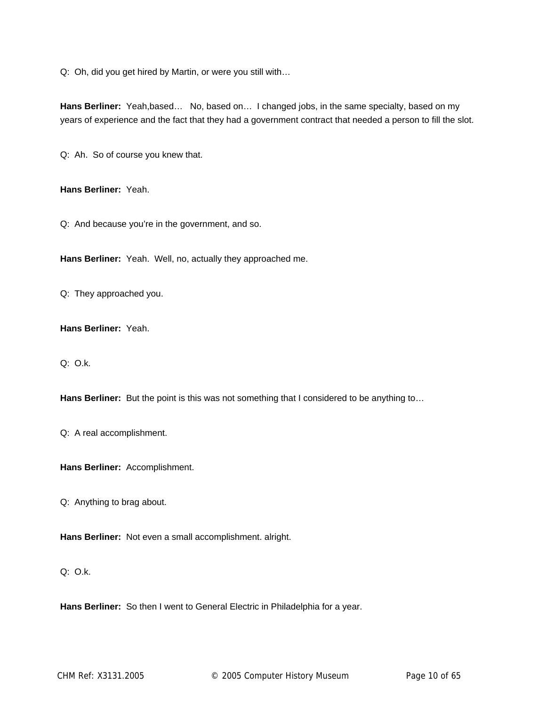Q: Oh, did you get hired by Martin, or were you still with…

Hans Berliner: Yeah,based... No, based on... I changed jobs, in the same specialty, based on my years of experience and the fact that they had a government contract that needed a person to fill the slot.

Q: Ah. So of course you knew that.

**Hans Berliner:** Yeah.

Q: And because you're in the government, and so.

**Hans Berliner:** Yeah. Well, no, actually they approached me.

Q: They approached you.

**Hans Berliner:** Yeah.

Q: O.k.

Hans Berliner: But the point is this was not something that I considered to be anything to...

Q: A real accomplishment.

**Hans Berliner:** Accomplishment.

Q: Anything to brag about.

**Hans Berliner:** Not even a small accomplishment. alright.

## Q: O.k.

**Hans Berliner:** So then I went to General Electric in Philadelphia for a year.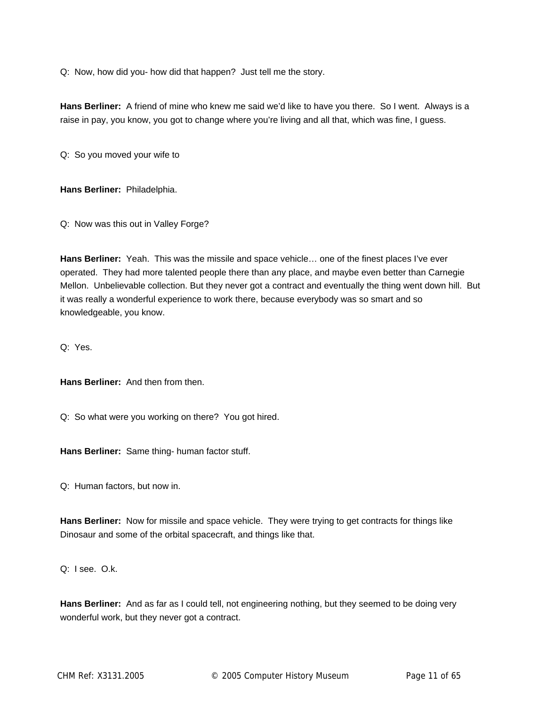Q: Now, how did you- how did that happen? Just tell me the story.

**Hans Berliner:** A friend of mine who knew me said we'd like to have you there. So I went. Always is a raise in pay, you know, you got to change where you're living and all that, which was fine, I guess.

Q: So you moved your wife to

**Hans Berliner:** Philadelphia.

Q: Now was this out in Valley Forge?

**Hans Berliner:** Yeah. This was the missile and space vehicle… one of the finest places I've ever operated. They had more talented people there than any place, and maybe even better than Carnegie Mellon. Unbelievable collection. But they never got a contract and eventually the thing went down hill. But it was really a wonderful experience to work there, because everybody was so smart and so knowledgeable, you know.

Q: Yes.

**Hans Berliner:** And then from then.

Q: So what were you working on there? You got hired.

**Hans Berliner:** Same thing- human factor stuff.

Q: Human factors, but now in.

**Hans Berliner:** Now for missile and space vehicle. They were trying to get contracts for things like Dinosaur and some of the orbital spacecraft, and things like that.

Q: I see. O.k.

**Hans Berliner:** And as far as I could tell, not engineering nothing, but they seemed to be doing very wonderful work, but they never got a contract.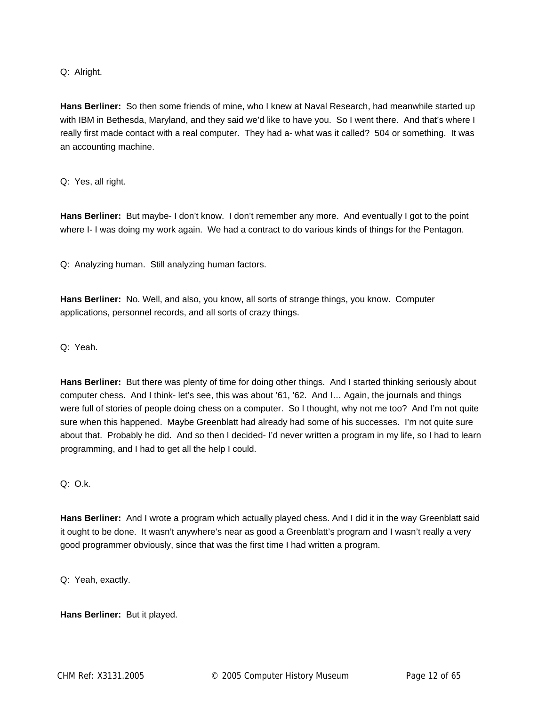Q: Alright.

**Hans Berliner:** So then some friends of mine, who I knew at Naval Research, had meanwhile started up with IBM in Bethesda, Maryland, and they said we'd like to have you. So I went there. And that's where I really first made contact with a real computer. They had a- what was it called? 504 or something. It was an accounting machine.

Q: Yes, all right.

**Hans Berliner:** But maybe- I don't know. I don't remember any more. And eventually I got to the point where I- I was doing my work again. We had a contract to do various kinds of things for the Pentagon.

Q: Analyzing human. Still analyzing human factors.

**Hans Berliner:** No. Well, and also, you know, all sorts of strange things, you know. Computer applications, personnel records, and all sorts of crazy things.

Q: Yeah.

**Hans Berliner:** But there was plenty of time for doing other things. And I started thinking seriously about computer chess. And I think- let's see, this was about '61, '62. And I… Again, the journals and things were full of stories of people doing chess on a computer. So I thought, why not me too? And I'm not quite sure when this happened. Maybe Greenblatt had already had some of his successes. I'm not quite sure about that. Probably he did. And so then I decided- I'd never written a program in my life, so I had to learn programming, and I had to get all the help I could.

 $Q: Q.k.$ 

**Hans Berliner:** And I wrote a program which actually played chess. And I did it in the way Greenblatt said it ought to be done. It wasn't anywhere's near as good a Greenblatt's program and I wasn't really a very good programmer obviously, since that was the first time I had written a program.

Q: Yeah, exactly.

**Hans Berliner:** But it played.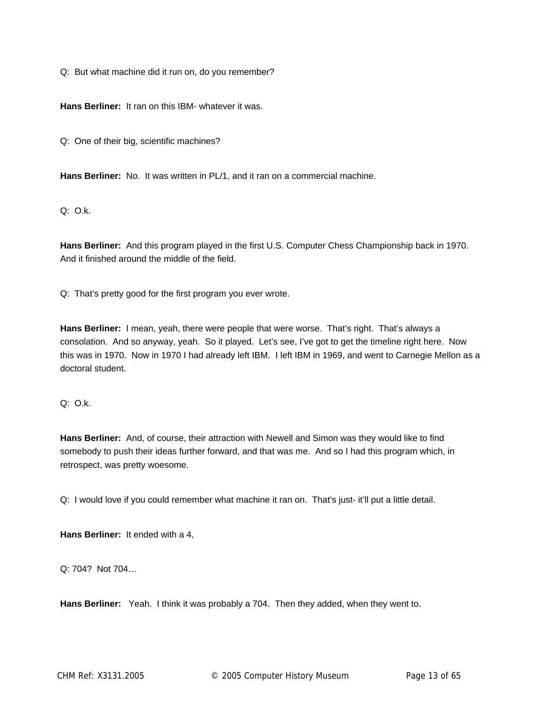Q: But what machine did it run on, do you remember?

**Hans Berliner:** It ran on this IBM- whatever it was.

Q: One of their big, scientific machines?

Hans Berliner: No. It was written in PL/1, and it ran on a commercial machine.

 $Q: O.k.$ 

**Hans Berliner:** And this program played in the first U.S. Computer Chess Championship back in 1970. And it finished around the middle of the field.

Q: That's pretty good for the first program you ever wrote.

**Hans Berliner:** I mean, yeah, there were people that were worse. That's right. That's always a consolation. And so anyway, yeah. So it played. Let's see, I've got to get the timeline right here. Now this was in 1970. Now in 1970 I had already left IBM. I left IBM in 1969, and went to Carnegie Mellon as a doctoral student.

 $Q: O.k.$ 

**Hans Berliner:** And, of course, their attraction with Newell and Simon was they would like to find somebody to push their ideas further forward, and that was me. And so I had this program which, in retrospect, was pretty woesome.

Q: I would love if you could remember what machine it ran on. That's just- it'll put a little detail.

**Hans Berliner:** It ended with a 4,

Q: 704? Not 704…

**Hans Berliner:** Yeah. I think it was probably a 704. Then they added, when they went to.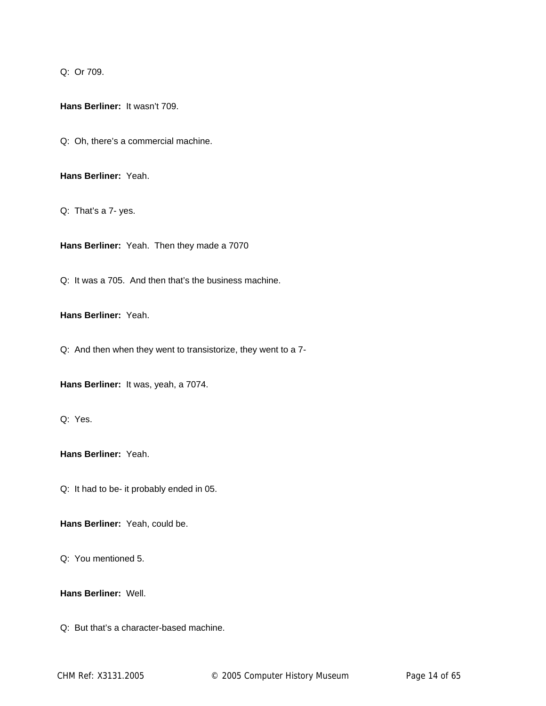Q: Or 709.

**Hans Berliner:** It wasn't 709.

Q: Oh, there's a commercial machine.

**Hans Berliner:** Yeah.

Q: That's a 7- yes.

**Hans Berliner:** Yeah. Then they made a 7070

Q: It was a 705. And then that's the business machine.

**Hans Berliner:** Yeah.

Q: And then when they went to transistorize, they went to a 7-

**Hans Berliner:** It was, yeah, a 7074.

Q: Yes.

**Hans Berliner:** Yeah.

Q: It had to be- it probably ended in 05.

**Hans Berliner:** Yeah, could be.

Q: You mentioned 5.

**Hans Berliner:** Well.

Q: But that's a character-based machine.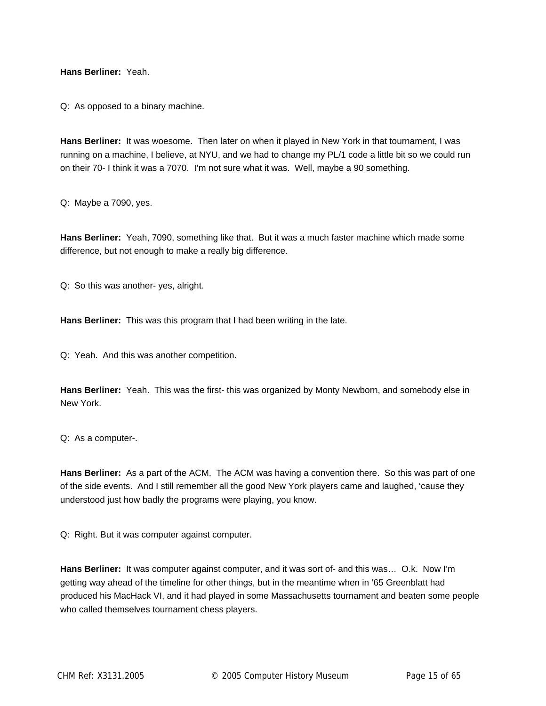**Hans Berliner:** Yeah.

Q: As opposed to a binary machine.

**Hans Berliner:** It was woesome. Then later on when it played in New York in that tournament, I was running on a machine, I believe, at NYU, and we had to change my PL/1 code a little bit so we could run on their 70- I think it was a 7070. I'm not sure what it was. Well, maybe a 90 something.

Q: Maybe a 7090, yes.

**Hans Berliner:** Yeah, 7090, something like that. But it was a much faster machine which made some difference, but not enough to make a really big difference.

Q: So this was another- yes, alright.

**Hans Berliner:** This was this program that I had been writing in the late.

Q: Yeah. And this was another competition.

**Hans Berliner:** Yeah. This was the first- this was organized by Monty Newborn, and somebody else in New York.

Q: As a computer-.

**Hans Berliner:** As a part of the ACM. The ACM was having a convention there. So this was part of one of the side events. And I still remember all the good New York players came and laughed, 'cause they understood just how badly the programs were playing, you know.

Q: Right. But it was computer against computer.

**Hans Berliner:** It was computer against computer, and it was sort of- and this was… O.k. Now I'm getting way ahead of the timeline for other things, but in the meantime when in '65 Greenblatt had produced his MacHack VI, and it had played in some Massachusetts tournament and beaten some people who called themselves tournament chess players.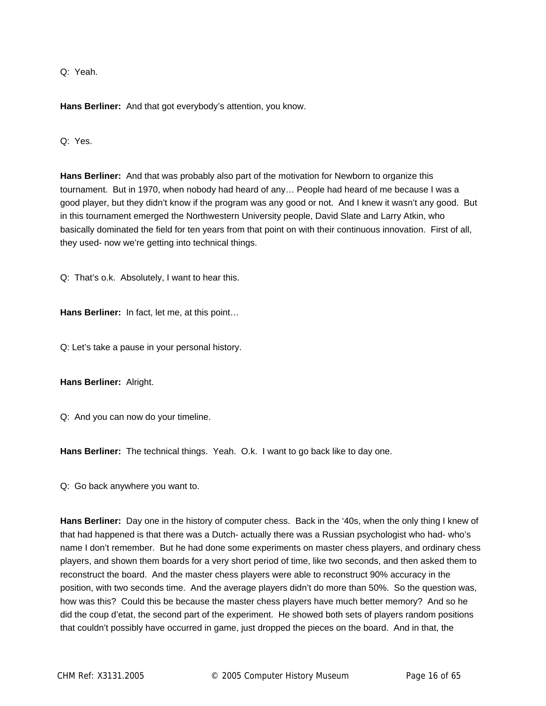Q: Yeah.

**Hans Berliner:** And that got everybody's attention, you know.

Q: Yes.

**Hans Berliner:** And that was probably also part of the motivation for Newborn to organize this tournament. But in 1970, when nobody had heard of any… People had heard of me because I was a good player, but they didn't know if the program was any good or not. And I knew it wasn't any good. But in this tournament emerged the Northwestern University people, David Slate and Larry Atkin, who basically dominated the field for ten years from that point on with their continuous innovation. First of all, they used- now we're getting into technical things.

Q: That's o.k. Absolutely, I want to hear this.

**Hans Berliner:** In fact, let me, at this point…

Q: Let's take a pause in your personal history.

**Hans Berliner:** Alright.

Q: And you can now do your timeline.

**Hans Berliner:** The technical things. Yeah. O.k. I want to go back like to day one.

Q: Go back anywhere you want to.

**Hans Berliner:** Day one in the history of computer chess. Back in the '40s, when the only thing I knew of that had happened is that there was a Dutch- actually there was a Russian psychologist who had- who's name I don't remember. But he had done some experiments on master chess players, and ordinary chess players, and shown them boards for a very short period of time, like two seconds, and then asked them to reconstruct the board. And the master chess players were able to reconstruct 90% accuracy in the position, with two seconds time. And the average players didn't do more than 50%. So the question was, how was this? Could this be because the master chess players have much better memory? And so he did the coup d'etat, the second part of the experiment. He showed both sets of players random positions that couldn't possibly have occurred in game, just dropped the pieces on the board. And in that, the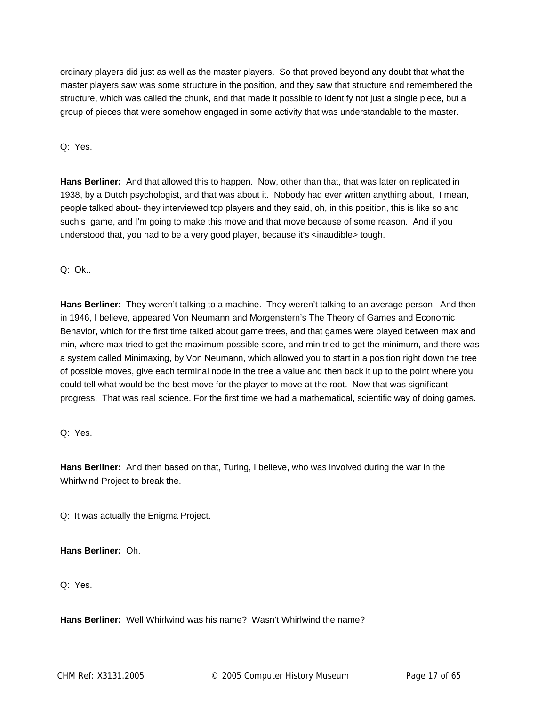ordinary players did just as well as the master players. So that proved beyond any doubt that what the master players saw was some structure in the position, and they saw that structure and remembered the structure, which was called the chunk, and that made it possible to identify not just a single piece, but a group of pieces that were somehow engaged in some activity that was understandable to the master.

Q: Yes.

**Hans Berliner:** And that allowed this to happen. Now, other than that, that was later on replicated in 1938, by a Dutch psychologist, and that was about it. Nobody had ever written anything about, I mean, people talked about- they interviewed top players and they said, oh, in this position, this is like so and such's game, and I'm going to make this move and that move because of some reason. And if you understood that, you had to be a very good player, because it's <inaudible> tough.

Q: Ok..

**Hans Berliner:** They weren't talking to a machine. They weren't talking to an average person. And then in 1946, I believe, appeared Von Neumann and Morgenstern's The Theory of Games and Economic Behavior, which for the first time talked about game trees, and that games were played between max and min, where max tried to get the maximum possible score, and min tried to get the minimum, and there was a system called Minimaxing, by Von Neumann, which allowed you to start in a position right down the tree of possible moves, give each terminal node in the tree a value and then back it up to the point where you could tell what would be the best move for the player to move at the root. Now that was significant progress. That was real science. For the first time we had a mathematical, scientific way of doing games.

## Q: Yes.

**Hans Berliner:** And then based on that, Turing, I believe, who was involved during the war in the Whirlwind Project to break the.

Q: It was actually the Enigma Project.

## **Hans Berliner:** Oh.

Q: Yes.

**Hans Berliner:** Well Whirlwind was his name? Wasn't Whirlwind the name?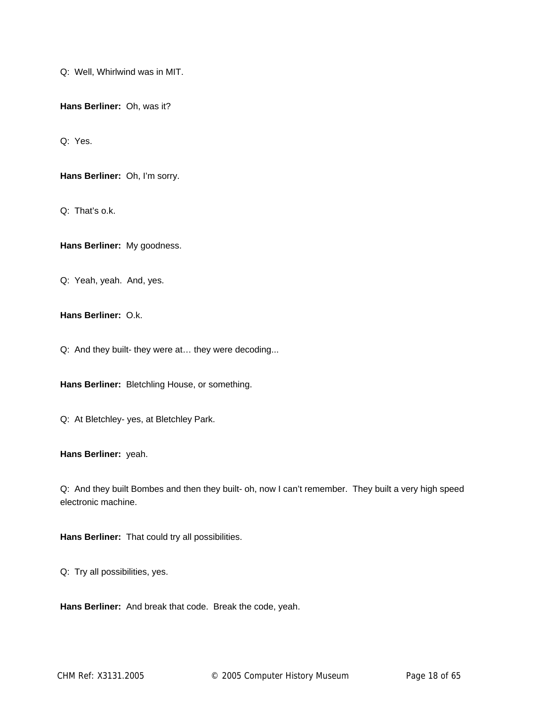Q: Well, Whirlwind was in MIT.

**Hans Berliner:** Oh, was it?

Q: Yes.

**Hans Berliner:** Oh, I'm sorry.

Q: That's o.k.

**Hans Berliner:** My goodness.

Q: Yeah, yeah. And, yes.

**Hans Berliner:** O.k.

Q: And they built- they were at… they were decoding...

**Hans Berliner:** Bletchling House, or something.

Q: At Bletchley- yes, at Bletchley Park.

**Hans Berliner:** yeah.

Q: And they built Bombes and then they built- oh, now I can't remember. They built a very high speed electronic machine.

**Hans Berliner:** That could try all possibilities.

Q: Try all possibilities, yes.

**Hans Berliner:** And break that code. Break the code, yeah.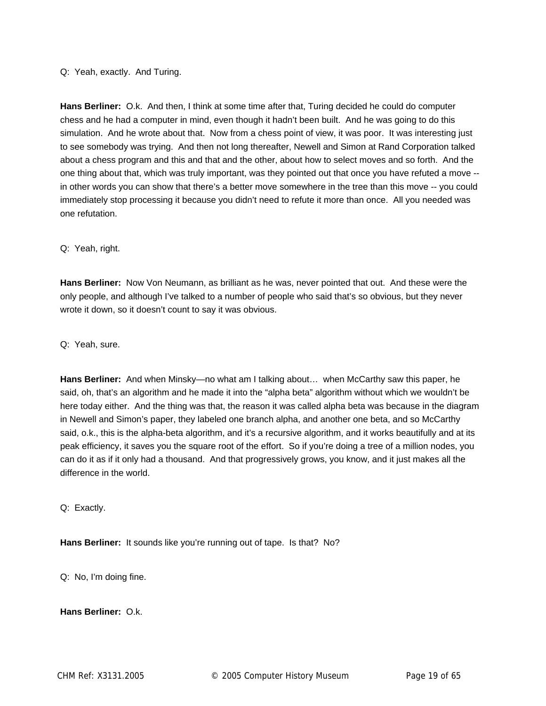#### Q: Yeah, exactly. And Turing.

**Hans Berliner:** O.k. And then, I think at some time after that, Turing decided he could do computer chess and he had a computer in mind, even though it hadn't been built. And he was going to do this simulation. And he wrote about that. Now from a chess point of view, it was poor. It was interesting just to see somebody was trying. And then not long thereafter, Newell and Simon at Rand Corporation talked about a chess program and this and that and the other, about how to select moves and so forth. And the one thing about that, which was truly important, was they pointed out that once you have refuted a move - in other words you can show that there's a better move somewhere in the tree than this move -- you could immediately stop processing it because you didn't need to refute it more than once. All you needed was one refutation.

#### Q: Yeah, right.

**Hans Berliner:** Now Von Neumann, as brilliant as he was, never pointed that out. And these were the only people, and although I've talked to a number of people who said that's so obvious, but they never wrote it down, so it doesn't count to say it was obvious.

Q: Yeah, sure.

**Hans Berliner:** And when Minsky—no what am I talking about… when McCarthy saw this paper, he said, oh, that's an algorithm and he made it into the "alpha beta" algorithm without which we wouldn't be here today either. And the thing was that, the reason it was called alpha beta was because in the diagram in Newell and Simon's paper, they labeled one branch alpha, and another one beta, and so McCarthy said, o.k., this is the alpha-beta algorithm, and it's a recursive algorithm, and it works beautifully and at its peak efficiency, it saves you the square root of the effort. So if you're doing a tree of a million nodes, you can do it as if it only had a thousand. And that progressively grows, you know, and it just makes all the difference in the world.

Q: Exactly.

**Hans Berliner:** It sounds like you're running out of tape. Is that? No?

Q: No, I'm doing fine.

**Hans Berliner:** O.k.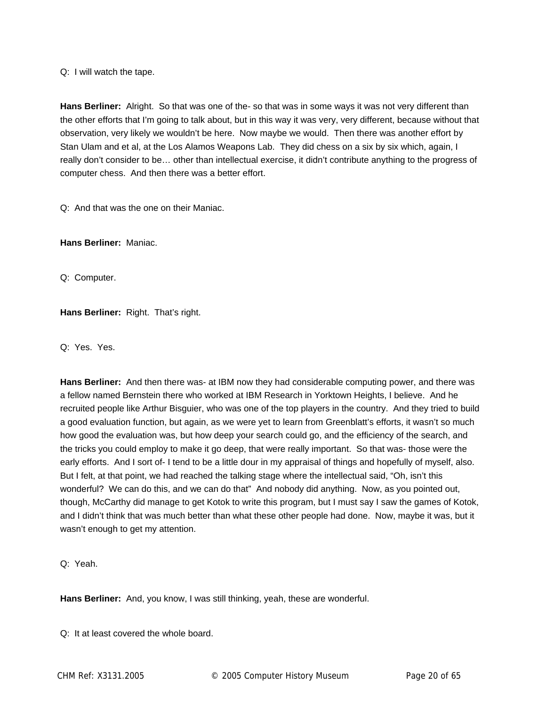Q: I will watch the tape.

**Hans Berliner:** Alright. So that was one of the- so that was in some ways it was not very different than the other efforts that I'm going to talk about, but in this way it was very, very different, because without that observation, very likely we wouldn't be here. Now maybe we would. Then there was another effort by Stan Ulam and et al, at the Los Alamos Weapons Lab. They did chess on a six by six which, again, I really don't consider to be… other than intellectual exercise, it didn't contribute anything to the progress of computer chess. And then there was a better effort.

Q: And that was the one on their Maniac.

**Hans Berliner:** Maniac.

Q: Computer.

**Hans Berliner:** Right. That's right.

Q: Yes. Yes.

**Hans Berliner:** And then there was- at IBM now they had considerable computing power, and there was a fellow named Bernstein there who worked at IBM Research in Yorktown Heights, I believe. And he recruited people like Arthur Bisguier, who was one of the top players in the country. And they tried to build a good evaluation function, but again, as we were yet to learn from Greenblatt's efforts, it wasn't so much how good the evaluation was, but how deep your search could go, and the efficiency of the search, and the tricks you could employ to make it go deep, that were really important. So that was- those were the early efforts. And I sort of- I tend to be a little dour in my appraisal of things and hopefully of myself, also. But I felt, at that point, we had reached the talking stage where the intellectual said, "Oh, isn't this wonderful? We can do this, and we can do that" And nobody did anything. Now, as you pointed out, though, McCarthy did manage to get Kotok to write this program, but I must say I saw the games of Kotok, and I didn't think that was much better than what these other people had done. Now, maybe it was, but it wasn't enough to get my attention.

Q: Yeah.

**Hans Berliner:** And, you know, I was still thinking, yeah, these are wonderful.

Q: It at least covered the whole board.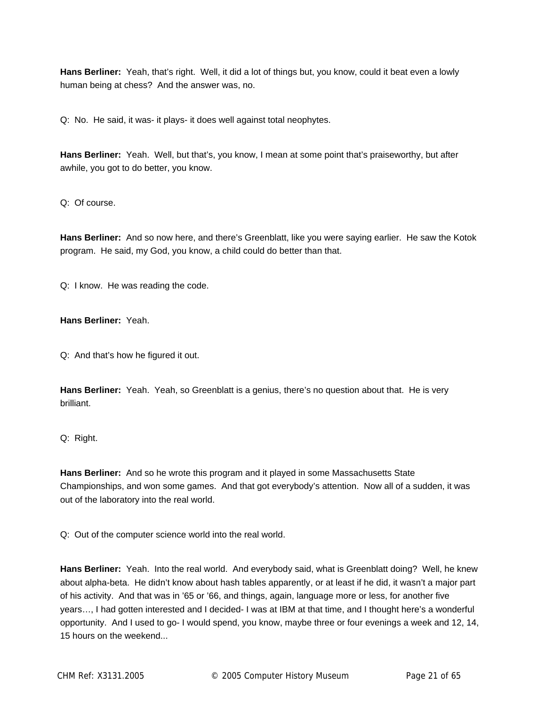**Hans Berliner:** Yeah, that's right. Well, it did a lot of things but, you know, could it beat even a lowly human being at chess? And the answer was, no.

Q: No. He said, it was- it plays- it does well against total neophytes.

**Hans Berliner:** Yeah. Well, but that's, you know, I mean at some point that's praiseworthy, but after awhile, you got to do better, you know.

Q: Of course.

**Hans Berliner:** And so now here, and there's Greenblatt, like you were saying earlier. He saw the Kotok program. He said, my God, you know, a child could do better than that.

Q: I know. He was reading the code.

**Hans Berliner:** Yeah.

Q: And that's how he figured it out.

**Hans Berliner:** Yeah. Yeah, so Greenblatt is a genius, there's no question about that. He is very brilliant.

Q: Right.

**Hans Berliner:** And so he wrote this program and it played in some Massachusetts State Championships, and won some games. And that got everybody's attention. Now all of a sudden, it was out of the laboratory into the real world.

Q: Out of the computer science world into the real world.

**Hans Berliner:** Yeah. Into the real world. And everybody said, what is Greenblatt doing? Well, he knew about alpha-beta. He didn't know about hash tables apparently, or at least if he did, it wasn't a major part of his activity. And that was in '65 or '66, and things, again, language more or less, for another five years…, I had gotten interested and I decided- I was at IBM at that time, and I thought here's a wonderful opportunity. And I used to go- I would spend, you know, maybe three or four evenings a week and 12, 14, 15 hours on the weekend...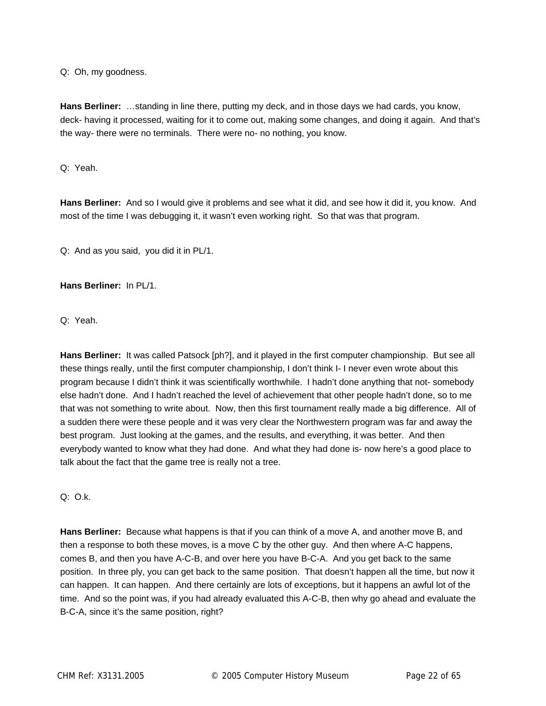Q: Oh, my goodness.

**Hans Berliner:** …standing in line there, putting my deck, and in those days we had cards, you know, deck- having it processed, waiting for it to come out, making some changes, and doing it again. And that's the way- there were no terminals. There were no- no nothing, you know.

Q: Yeah.

**Hans Berliner:** And so I would give it problems and see what it did, and see how it did it, you know. And most of the time I was debugging it, it wasn't even working right. So that was that program.

Q: And as you said, you did it in PL/1.

**Hans Berliner:** In PL/1.

Q: Yeah.

**Hans Berliner:** It was called Patsock [ph?], and it played in the first computer championship. But see all these things really, until the first computer championship, I don't think I- I never even wrote about this program because I didn't think it was scientifically worthwhile. I hadn't done anything that not- somebody else hadn't done. And I hadn't reached the level of achievement that other people hadn't done, so to me that was not something to write about. Now, then this first tournament really made a big difference. All of a sudden there were these people and it was very clear the Northwestern program was far and away the best program. Just looking at the games, and the results, and everything, it was better. And then everybody wanted to know what they had done. And what they had done is- now here's a good place to talk about the fact that the game tree is really not a tree.

Q: O.k.

**Hans Berliner:** Because what happens is that if you can think of a move A, and another move B, and then a response to both these moves, is a move C by the other guy. And then where A-C happens, comes B, and then you have A-C-B, and over here you have B-C-A. And you get back to the same position. In three ply, you can get back to the same position. That doesn't happen all the time, but now it can happen. It can happen. And there certainly are lots of exceptions, but it happens an awful lot of the time. And so the point was, if you had already evaluated this A-C-B, then why go ahead and evaluate the B-C-A, since it's the same position, right?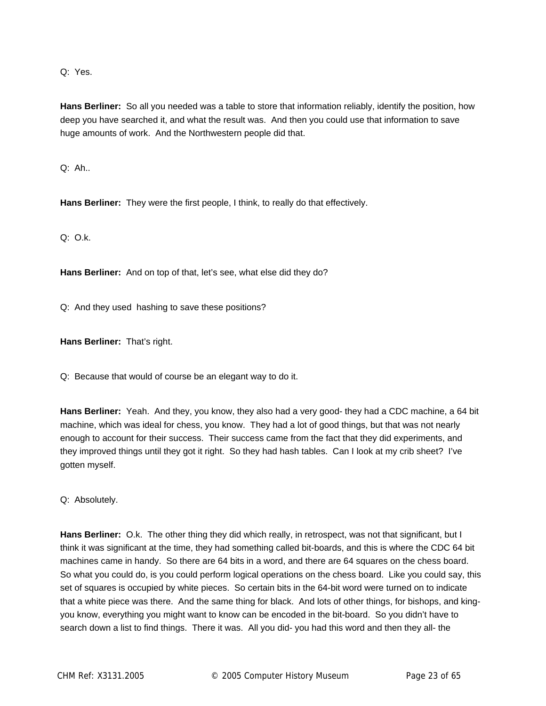Q: Yes.

**Hans Berliner:** So all you needed was a table to store that information reliably, identify the position, how deep you have searched it, and what the result was. And then you could use that information to save huge amounts of work. And the Northwestern people did that.

Q: Ah..

**Hans Berliner:** They were the first people, I think, to really do that effectively.

 $Q: Q.k.$ 

**Hans Berliner:** And on top of that, let's see, what else did they do?

Q: And they used hashing to save these positions?

**Hans Berliner:** That's right.

Q: Because that would of course be an elegant way to do it.

**Hans Berliner:** Yeah. And they, you know, they also had a very good- they had a CDC machine, a 64 bit machine, which was ideal for chess, you know. They had a lot of good things, but that was not nearly enough to account for their success. Their success came from the fact that they did experiments, and they improved things until they got it right. So they had hash tables. Can I look at my crib sheet? I've gotten myself.

Q: Absolutely.

**Hans Berliner:** O.k. The other thing they did which really, in retrospect, was not that significant, but I think it was significant at the time, they had something called bit-boards, and this is where the CDC 64 bit machines came in handy. So there are 64 bits in a word, and there are 64 squares on the chess board. So what you could do, is you could perform logical operations on the chess board. Like you could say, this set of squares is occupied by white pieces. So certain bits in the 64-bit word were turned on to indicate that a white piece was there. And the same thing for black. And lots of other things, for bishops, and kingyou know, everything you might want to know can be encoded in the bit-board. So you didn't have to search down a list to find things. There it was. All you did- you had this word and then they all- the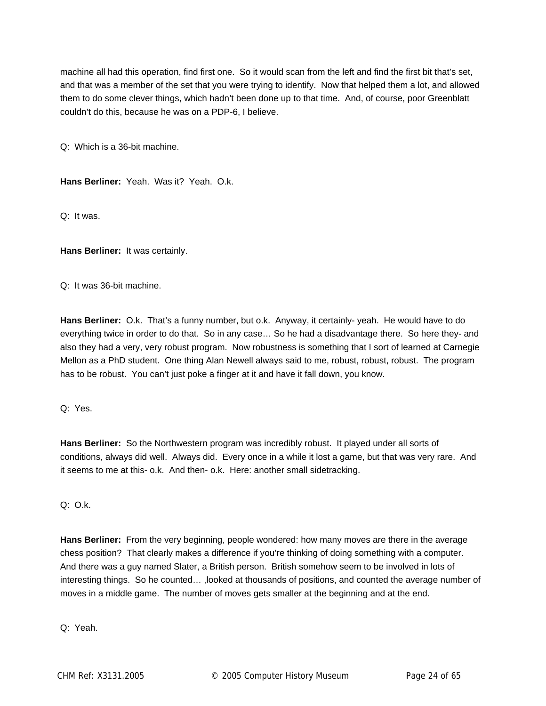machine all had this operation, find first one. So it would scan from the left and find the first bit that's set, and that was a member of the set that you were trying to identify. Now that helped them a lot, and allowed them to do some clever things, which hadn't been done up to that time. And, of course, poor Greenblatt couldn't do this, because he was on a PDP-6, I believe.

Q: Which is a 36-bit machine.

**Hans Berliner:** Yeah. Was it? Yeah. O.k.

Q: It was.

**Hans Berliner:** It was certainly.

Q: It was 36-bit machine.

**Hans Berliner:** O.k. That's a funny number, but o.k. Anyway, it certainly- yeah. He would have to do everything twice in order to do that. So in any case… So he had a disadvantage there. So here they- and also they had a very, very robust program. Now robustness is something that I sort of learned at Carnegie Mellon as a PhD student. One thing Alan Newell always said to me, robust, robust, robust. The program has to be robust. You can't just poke a finger at it and have it fall down, you know.

Q: Yes.

**Hans Berliner:** So the Northwestern program was incredibly robust. It played under all sorts of conditions, always did well. Always did. Every once in a while it lost a game, but that was very rare. And it seems to me at this- o.k. And then- o.k. Here: another small sidetracking.

Q: O.k.

**Hans Berliner:** From the very beginning, people wondered: how many moves are there in the average chess position? That clearly makes a difference if you're thinking of doing something with a computer. And there was a guy named Slater, a British person. British somehow seem to be involved in lots of interesting things. So he counted… ,looked at thousands of positions, and counted the average number of moves in a middle game. The number of moves gets smaller at the beginning and at the end.

Q: Yeah.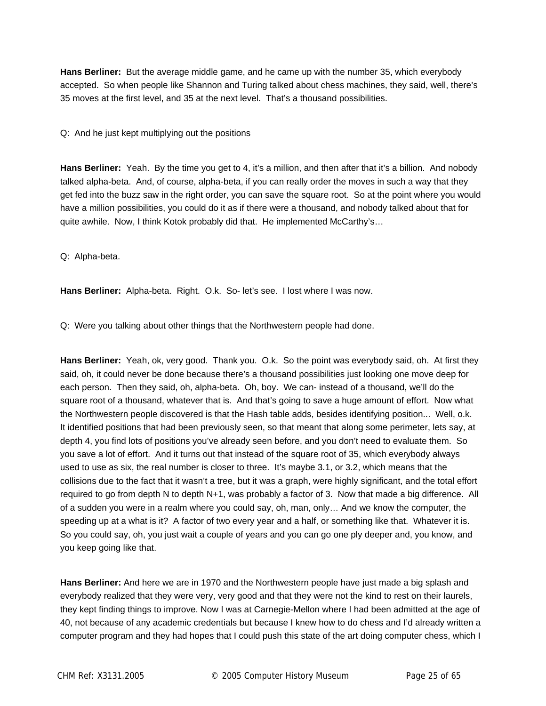**Hans Berliner:** But the average middle game, and he came up with the number 35, which everybody accepted. So when people like Shannon and Turing talked about chess machines, they said, well, there's 35 moves at the first level, and 35 at the next level. That's a thousand possibilities.

Q: And he just kept multiplying out the positions

**Hans Berliner:** Yeah. By the time you get to 4, it's a million, and then after that it's a billion. And nobody talked alpha-beta. And, of course, alpha-beta, if you can really order the moves in such a way that they get fed into the buzz saw in the right order, you can save the square root. So at the point where you would have a million possibilities, you could do it as if there were a thousand, and nobody talked about that for quite awhile. Now, I think Kotok probably did that. He implemented McCarthy's…

Q: Alpha-beta.

**Hans Berliner:** Alpha-beta. Right. O.k. So- let's see. I lost where I was now.

Q: Were you talking about other things that the Northwestern people had done.

**Hans Berliner:** Yeah, ok, very good. Thank you. O.k. So the point was everybody said, oh. At first they said, oh, it could never be done because there's a thousand possibilities just looking one move deep for each person. Then they said, oh, alpha-beta. Oh, boy. We can- instead of a thousand, we'll do the square root of a thousand, whatever that is. And that's going to save a huge amount of effort. Now what the Northwestern people discovered is that the Hash table adds, besides identifying position... Well, o.k. It identified positions that had been previously seen, so that meant that along some perimeter, lets say, at depth 4, you find lots of positions you've already seen before, and you don't need to evaluate them. So you save a lot of effort. And it turns out that instead of the square root of 35, which everybody always used to use as six, the real number is closer to three. It's maybe 3.1, or 3.2, which means that the collisions due to the fact that it wasn't a tree, but it was a graph, were highly significant, and the total effort required to go from depth N to depth N+1, was probably a factor of 3. Now that made a big difference. All of a sudden you were in a realm where you could say, oh, man, only… And we know the computer, the speeding up at a what is it? A factor of two every year and a half, or something like that. Whatever it is. So you could say, oh, you just wait a couple of years and you can go one ply deeper and, you know, and you keep going like that.

**Hans Berliner:** And here we are in 1970 and the Northwestern people have just made a big splash and everybody realized that they were very, very good and that they were not the kind to rest on their laurels, they kept finding things to improve. Now I was at Carnegie-Mellon where I had been admitted at the age of 40, not because of any academic credentials but because I knew how to do chess and I'd already written a computer program and they had hopes that I could push this state of the art doing computer chess, which I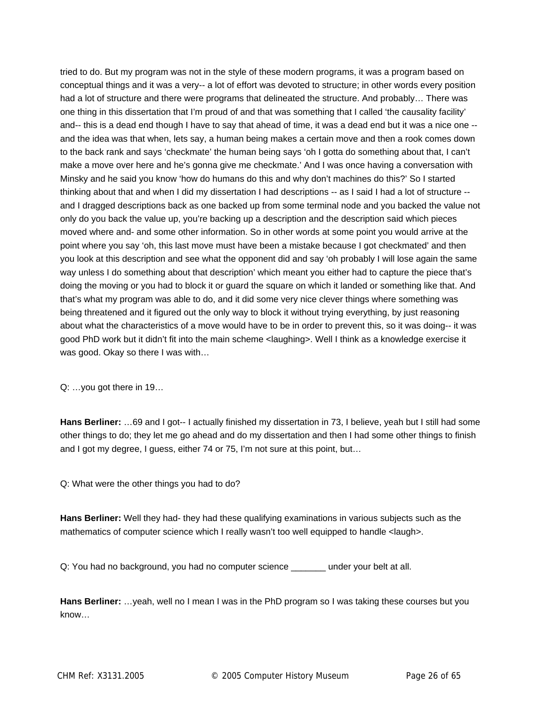tried to do. But my program was not in the style of these modern programs, it was a program based on conceptual things and it was a very-- a lot of effort was devoted to structure; in other words every position had a lot of structure and there were programs that delineated the structure. And probably… There was one thing in this dissertation that I'm proud of and that was something that I called 'the causality facility' and-- this is a dead end though I have to say that ahead of time, it was a dead end but it was a nice one - and the idea was that when, lets say, a human being makes a certain move and then a rook comes down to the back rank and says 'checkmate' the human being says 'oh I gotta do something about that, I can't make a move over here and he's gonna give me checkmate.' And I was once having a conversation with Minsky and he said you know 'how do humans do this and why don't machines do this?' So I started thinking about that and when I did my dissertation I had descriptions -- as I said I had a lot of structure - and I dragged descriptions back as one backed up from some terminal node and you backed the value not only do you back the value up, you're backing up a description and the description said which pieces moved where and- and some other information. So in other words at some point you would arrive at the point where you say 'oh, this last move must have been a mistake because I got checkmated' and then you look at this description and see what the opponent did and say 'oh probably I will lose again the same way unless I do something about that description' which meant you either had to capture the piece that's doing the moving or you had to block it or guard the square on which it landed or something like that. And that's what my program was able to do, and it did some very nice clever things where something was being threatened and it figured out the only way to block it without trying everything, by just reasoning about what the characteristics of a move would have to be in order to prevent this, so it was doing-- it was good PhD work but it didn't fit into the main scheme <laughing>. Well I think as a knowledge exercise it was good. Okay so there I was with…

Q: …you got there in 19…

**Hans Berliner:** …69 and I got-- I actually finished my dissertation in 73, I believe, yeah but I still had some other things to do; they let me go ahead and do my dissertation and then I had some other things to finish and I got my degree, I guess, either 74 or 75, I'm not sure at this point, but…

Q: What were the other things you had to do?

**Hans Berliner:** Well they had- they had these qualifying examinations in various subjects such as the mathematics of computer science which I really wasn't too well equipped to handle <laugh>.

Q: You had no background, you had no computer science \_\_\_\_\_\_\_ under your belt at all.

**Hans Berliner:** …yeah, well no I mean I was in the PhD program so I was taking these courses but you know…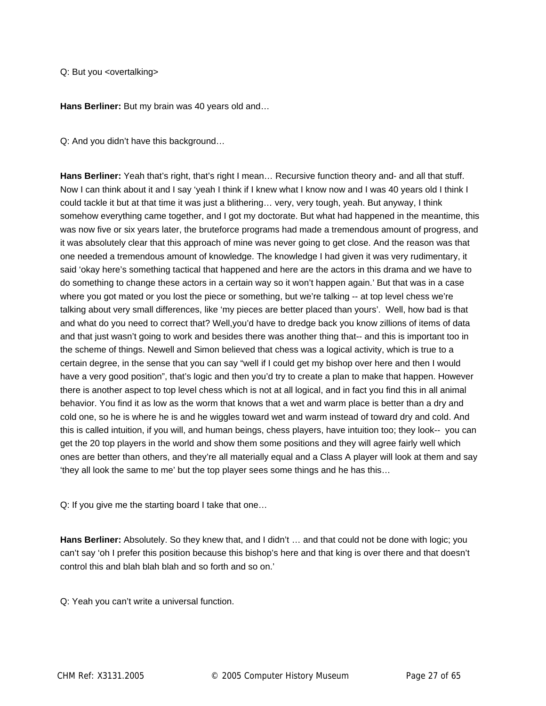Q: But you <overtalking>

**Hans Berliner:** But my brain was 40 years old and…

Q: And you didn't have this background…

**Hans Berliner:** Yeah that's right, that's right I mean… Recursive function theory and- and all that stuff. Now I can think about it and I say 'yeah I think if I knew what I know now and I was 40 years old I think I could tackle it but at that time it was just a blithering… very, very tough, yeah. But anyway, I think somehow everything came together, and I got my doctorate. But what had happened in the meantime, this was now five or six years later, the bruteforce programs had made a tremendous amount of progress, and it was absolutely clear that this approach of mine was never going to get close. And the reason was that one needed a tremendous amount of knowledge. The knowledge I had given it was very rudimentary, it said 'okay here's something tactical that happened and here are the actors in this drama and we have to do something to change these actors in a certain way so it won't happen again.' But that was in a case where you got mated or you lost the piece or something, but we're talking -- at top level chess we're talking about very small differences, like 'my pieces are better placed than yours'. Well, how bad is that and what do you need to correct that? Well,you'd have to dredge back you know zillions of items of data and that just wasn't going to work and besides there was another thing that-- and this is important too in the scheme of things. Newell and Simon believed that chess was a logical activity, which is true to a certain degree, in the sense that you can say "well if I could get my bishop over here and then I would have a very good position", that's logic and then you'd try to create a plan to make that happen. However there is another aspect to top level chess which is not at all logical, and in fact you find this in all animal behavior. You find it as low as the worm that knows that a wet and warm place is better than a dry and cold one, so he is where he is and he wiggles toward wet and warm instead of toward dry and cold. And this is called intuition, if you will, and human beings, chess players, have intuition too; they look-- you can get the 20 top players in the world and show them some positions and they will agree fairly well which ones are better than others, and they're all materially equal and a Class A player will look at them and say 'they all look the same to me' but the top player sees some things and he has this…

Q: If you give me the starting board I take that one…

**Hans Berliner:** Absolutely. So they knew that, and I didn't … and that could not be done with logic; you can't say 'oh I prefer this position because this bishop's here and that king is over there and that doesn't control this and blah blah blah and so forth and so on.'

Q: Yeah you can't write a universal function.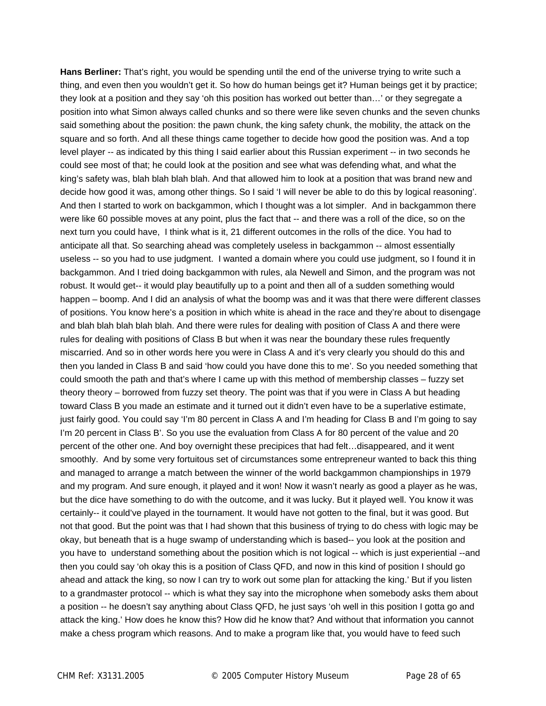**Hans Berliner:** That's right, you would be spending until the end of the universe trying to write such a thing, and even then you wouldn't get it. So how do human beings get it? Human beings get it by practice; they look at a position and they say 'oh this position has worked out better than…' or they segregate a position into what Simon always called chunks and so there were like seven chunks and the seven chunks said something about the position: the pawn chunk, the king safety chunk, the mobility, the attack on the square and so forth. And all these things came together to decide how good the position was. And a top level player -- as indicated by this thing I said earlier about this Russian experiment -- in two seconds he could see most of that; he could look at the position and see what was defending what, and what the king's safety was, blah blah blah blah. And that allowed him to look at a position that was brand new and decide how good it was, among other things. So I said 'I will never be able to do this by logical reasoning'. And then I started to work on backgammon, which I thought was a lot simpler. And in backgammon there were like 60 possible moves at any point, plus the fact that -- and there was a roll of the dice, so on the next turn you could have, I think what is it, 21 different outcomes in the rolls of the dice. You had to anticipate all that. So searching ahead was completely useless in backgammon -- almost essentially useless -- so you had to use judgment. I wanted a domain where you could use judgment, so I found it in backgammon. And I tried doing backgammon with rules, ala Newell and Simon, and the program was not robust. It would get-- it would play beautifully up to a point and then all of a sudden something would happen – boomp. And I did an analysis of what the boomp was and it was that there were different classes of positions. You know here's a position in which white is ahead in the race and they're about to disengage and blah blah blah blah blah. And there were rules for dealing with position of Class A and there were rules for dealing with positions of Class B but when it was near the boundary these rules frequently miscarried. And so in other words here you were in Class A and it's very clearly you should do this and then you landed in Class B and said 'how could you have done this to me'. So you needed something that could smooth the path and that's where I came up with this method of membership classes – fuzzy set theory theory – borrowed from fuzzy set theory. The point was that if you were in Class A but heading toward Class B you made an estimate and it turned out it didn't even have to be a superlative estimate, just fairly good. You could say 'I'm 80 percent in Class A and I'm heading for Class B and I'm going to say I'm 20 percent in Class B'. So you use the evaluation from Class A for 80 percent of the value and 20 percent of the other one. And boy overnight these precipices that had felt…disappeared, and it went smoothly. And by some very fortuitous set of circumstances some entrepreneur wanted to back this thing and managed to arrange a match between the winner of the world backgammon championships in 1979 and my program. And sure enough, it played and it won! Now it wasn't nearly as good a player as he was, but the dice have something to do with the outcome, and it was lucky. But it played well. You know it was certainly-- it could've played in the tournament. It would have not gotten to the final, but it was good. But not that good. But the point was that I had shown that this business of trying to do chess with logic may be okay, but beneath that is a huge swamp of understanding which is based-- you look at the position and you have to understand something about the position which is not logical -- which is just experiential --and then you could say 'oh okay this is a position of Class QFD, and now in this kind of position I should go ahead and attack the king, so now I can try to work out some plan for attacking the king.' But if you listen to a grandmaster protocol -- which is what they say into the microphone when somebody asks them about a position -- he doesn't say anything about Class QFD, he just says 'oh well in this position I gotta go and attack the king.' How does he know this? How did he know that? And without that information you cannot make a chess program which reasons. And to make a program like that, you would have to feed such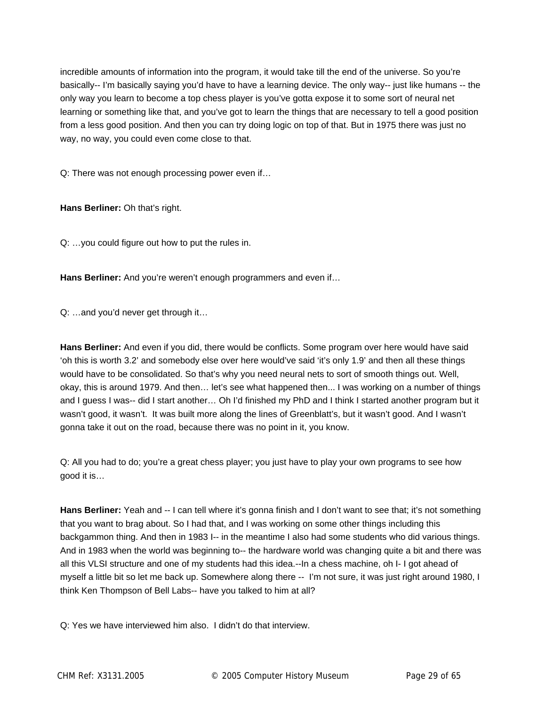incredible amounts of information into the program, it would take till the end of the universe. So you're basically-- I'm basically saying you'd have to have a learning device. The only way-- just like humans -- the only way you learn to become a top chess player is you've gotta expose it to some sort of neural net learning or something like that, and you've got to learn the things that are necessary to tell a good position from a less good position. And then you can try doing logic on top of that. But in 1975 there was just no way, no way, you could even come close to that.

Q: There was not enough processing power even if…

**Hans Berliner:** Oh that's right.

Q: …you could figure out how to put the rules in.

**Hans Berliner:** And you're weren't enough programmers and even if…

Q: …and you'd never get through it…

**Hans Berliner:** And even if you did, there would be conflicts. Some program over here would have said 'oh this is worth 3.2' and somebody else over here would've said 'it's only 1.9' and then all these things would have to be consolidated. So that's why you need neural nets to sort of smooth things out. Well, okay, this is around 1979. And then… let's see what happened then... I was working on a number of things and I guess I was-- did I start another… Oh I'd finished my PhD and I think I started another program but it wasn't good, it wasn't. It was built more along the lines of Greenblatt's, but it wasn't good. And I wasn't gonna take it out on the road, because there was no point in it, you know.

Q: All you had to do; you're a great chess player; you just have to play your own programs to see how good it is…

**Hans Berliner:** Yeah and -- I can tell where it's gonna finish and I don't want to see that; it's not something that you want to brag about. So I had that, and I was working on some other things including this backgammon thing. And then in 1983 I-- in the meantime I also had some students who did various things. And in 1983 when the world was beginning to-- the hardware world was changing quite a bit and there was all this VLSI structure and one of my students had this idea.--In a chess machine, oh I- I got ahead of myself a little bit so let me back up. Somewhere along there -- I'm not sure, it was just right around 1980, I think Ken Thompson of Bell Labs-- have you talked to him at all?

Q: Yes we have interviewed him also. I didn't do that interview.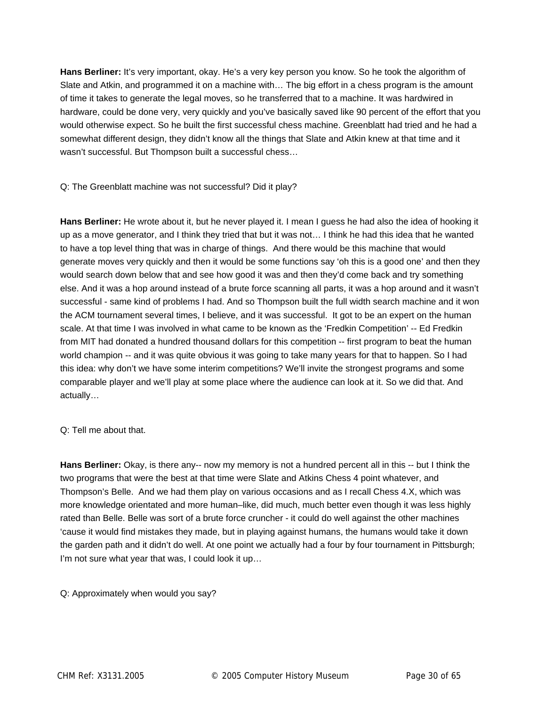**Hans Berliner:** It's very important, okay. He's a very key person you know. So he took the algorithm of Slate and Atkin, and programmed it on a machine with… The big effort in a chess program is the amount of time it takes to generate the legal moves, so he transferred that to a machine. It was hardwired in hardware, could be done very, very quickly and you've basically saved like 90 percent of the effort that you would otherwise expect. So he built the first successful chess machine. Greenblatt had tried and he had a somewhat different design, they didn't know all the things that Slate and Atkin knew at that time and it wasn't successful. But Thompson built a successful chess…

Q: The Greenblatt machine was not successful? Did it play?

**Hans Berliner:** He wrote about it, but he never played it. I mean I guess he had also the idea of hooking it up as a move generator, and I think they tried that but it was not… I think he had this idea that he wanted to have a top level thing that was in charge of things. And there would be this machine that would generate moves very quickly and then it would be some functions say 'oh this is a good one' and then they would search down below that and see how good it was and then they'd come back and try something else. And it was a hop around instead of a brute force scanning all parts, it was a hop around and it wasn't successful - same kind of problems I had. And so Thompson built the full width search machine and it won the ACM tournament several times, I believe, and it was successful. It got to be an expert on the human scale. At that time I was involved in what came to be known as the 'Fredkin Competition' -- Ed Fredkin from MIT had donated a hundred thousand dollars for this competition -- first program to beat the human world champion -- and it was quite obvious it was going to take many years for that to happen. So I had this idea: why don't we have some interim competitions? We'll invite the strongest programs and some comparable player and we'll play at some place where the audience can look at it. So we did that. And actually…

#### Q: Tell me about that.

**Hans Berliner:** Okay, is there any-- now my memory is not a hundred percent all in this -- but I think the two programs that were the best at that time were Slate and Atkins Chess 4 point whatever, and Thompson's Belle. And we had them play on various occasions and as I recall Chess 4.X, which was more knowledge orientated and more human–like, did much, much better even though it was less highly rated than Belle. Belle was sort of a brute force cruncher - it could do well against the other machines 'cause it would find mistakes they made, but in playing against humans, the humans would take it down the garden path and it didn't do well. At one point we actually had a four by four tournament in Pittsburgh; I'm not sure what year that was, I could look it up…

Q: Approximately when would you say?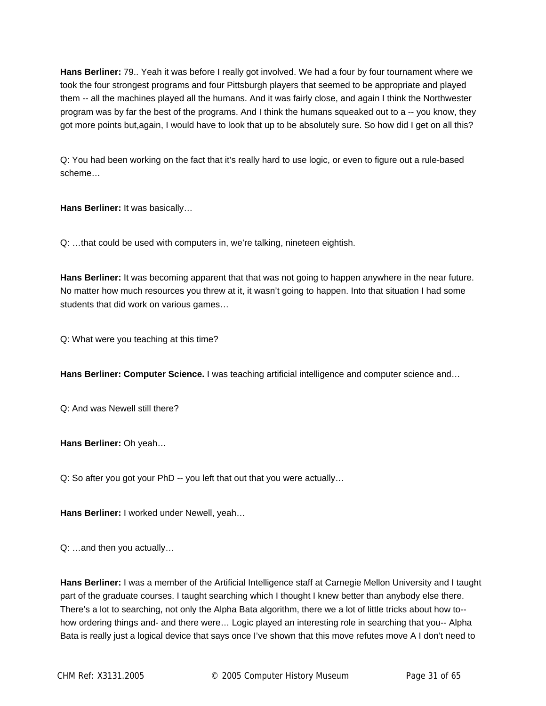**Hans Berliner:** 79.. Yeah it was before I really got involved. We had a four by four tournament where we took the four strongest programs and four Pittsburgh players that seemed to be appropriate and played them -- all the machines played all the humans. And it was fairly close, and again I think the Northwester program was by far the best of the programs. And I think the humans squeaked out to a -- you know, they got more points but,again, I would have to look that up to be absolutely sure. So how did I get on all this?

Q: You had been working on the fact that it's really hard to use logic, or even to figure out a rule-based scheme…

**Hans Berliner:** It was basically…

Q: …that could be used with computers in, we're talking, nineteen eightish.

**Hans Berliner:** It was becoming apparent that that was not going to happen anywhere in the near future. No matter how much resources you threw at it, it wasn't going to happen. Into that situation I had some students that did work on various games…

Q: What were you teaching at this time?

**Hans Berliner: Computer Science.** I was teaching artificial intelligence and computer science and…

Q: And was Newell still there?

**Hans Berliner:** Oh yeah…

Q: So after you got your PhD -- you left that out that you were actually…

**Hans Berliner:** I worked under Newell, yeah…

Q: …and then you actually…

**Hans Berliner:** I was a member of the Artificial Intelligence staff at Carnegie Mellon University and I taught part of the graduate courses. I taught searching which I thought I knew better than anybody else there. There's a lot to searching, not only the Alpha Bata algorithm, there we a lot of little tricks about how to- how ordering things and- and there were… Logic played an interesting role in searching that you-- Alpha Bata is really just a logical device that says once I've shown that this move refutes move A I don't need to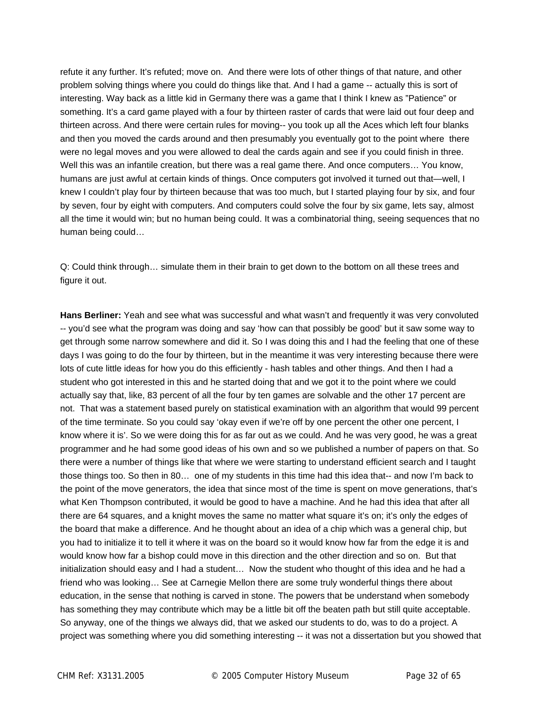refute it any further. It's refuted; move on. And there were lots of other things of that nature, and other problem solving things where you could do things like that. And I had a game -- actually this is sort of interesting. Way back as a little kid in Germany there was a game that I think I knew as "Patience" or something. It's a card game played with a four by thirteen raster of cards that were laid out four deep and thirteen across. And there were certain rules for moving-- you took up all the Aces which left four blanks and then you moved the cards around and then presumably you eventually got to the point where there were no legal moves and you were allowed to deal the cards again and see if you could finish in three. Well this was an infantile creation, but there was a real game there. And once computers… You know, humans are just awful at certain kinds of things. Once computers got involved it turned out that—well, I knew I couldn't play four by thirteen because that was too much, but I started playing four by six, and four by seven, four by eight with computers. And computers could solve the four by six game, lets say, almost all the time it would win; but no human being could. It was a combinatorial thing, seeing sequences that no human being could…

Q: Could think through… simulate them in their brain to get down to the bottom on all these trees and figure it out.

**Hans Berliner:** Yeah and see what was successful and what wasn't and frequently it was very convoluted -- you'd see what the program was doing and say 'how can that possibly be good' but it saw some way to get through some narrow somewhere and did it. So I was doing this and I had the feeling that one of these days I was going to do the four by thirteen, but in the meantime it was very interesting because there were lots of cute little ideas for how you do this efficiently - hash tables and other things. And then I had a student who got interested in this and he started doing that and we got it to the point where we could actually say that, like, 83 percent of all the four by ten games are solvable and the other 17 percent are not. That was a statement based purely on statistical examination with an algorithm that would 99 percent of the time terminate. So you could say 'okay even if we're off by one percent the other one percent, I know where it is'. So we were doing this for as far out as we could. And he was very good, he was a great programmer and he had some good ideas of his own and so we published a number of papers on that. So there were a number of things like that where we were starting to understand efficient search and I taught those things too. So then in 80… one of my students in this time had this idea that-- and now I'm back to the point of the move generators, the idea that since most of the time is spent on move generations, that's what Ken Thompson contributed, it would be good to have a machine. And he had this idea that after all there are 64 squares, and a knight moves the same no matter what square it's on; it's only the edges of the board that make a difference. And he thought about an idea of a chip which was a general chip, but you had to initialize it to tell it where it was on the board so it would know how far from the edge it is and would know how far a bishop could move in this direction and the other direction and so on. But that initialization should easy and I had a student… Now the student who thought of this idea and he had a friend who was looking… See at Carnegie Mellon there are some truly wonderful things there about education, in the sense that nothing is carved in stone. The powers that be understand when somebody has something they may contribute which may be a little bit off the beaten path but still quite acceptable. So anyway, one of the things we always did, that we asked our students to do, was to do a project. A project was something where you did something interesting -- it was not a dissertation but you showed that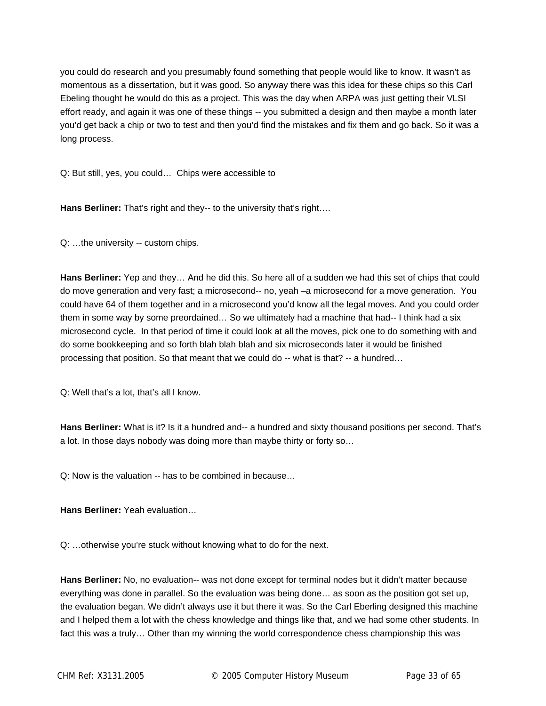you could do research and you presumably found something that people would like to know. It wasn't as momentous as a dissertation, but it was good. So anyway there was this idea for these chips so this Carl Ebeling thought he would do this as a project. This was the day when ARPA was just getting their VLSI effort ready, and again it was one of these things -- you submitted a design and then maybe a month later you'd get back a chip or two to test and then you'd find the mistakes and fix them and go back. So it was a long process.

Q: But still, yes, you could… Chips were accessible to

**Hans Berliner:** That's right and they-- to the university that's right….

Q: …the university -- custom chips.

**Hans Berliner:** Yep and they… And he did this. So here all of a sudden we had this set of chips that could do move generation and very fast; a microsecond-- no, yeah –a microsecond for a move generation. You could have 64 of them together and in a microsecond you'd know all the legal moves. And you could order them in some way by some preordained… So we ultimately had a machine that had-- I think had a six microsecond cycle. In that period of time it could look at all the moves, pick one to do something with and do some bookkeeping and so forth blah blah blah and six microseconds later it would be finished processing that position. So that meant that we could do -- what is that? -- a hundred…

Q: Well that's a lot, that's all I know.

**Hans Berliner:** What is it? Is it a hundred and-- a hundred and sixty thousand positions per second. That's a lot. In those days nobody was doing more than maybe thirty or forty so…

Q: Now is the valuation -- has to be combined in because…

**Hans Berliner:** Yeah evaluation…

Q: …otherwise you're stuck without knowing what to do for the next.

**Hans Berliner:** No, no evaluation-- was not done except for terminal nodes but it didn't matter because everything was done in parallel. So the evaluation was being done… as soon as the position got set up, the evaluation began. We didn't always use it but there it was. So the Carl Eberling designed this machine and I helped them a lot with the chess knowledge and things like that, and we had some other students. In fact this was a truly… Other than my winning the world correspondence chess championship this was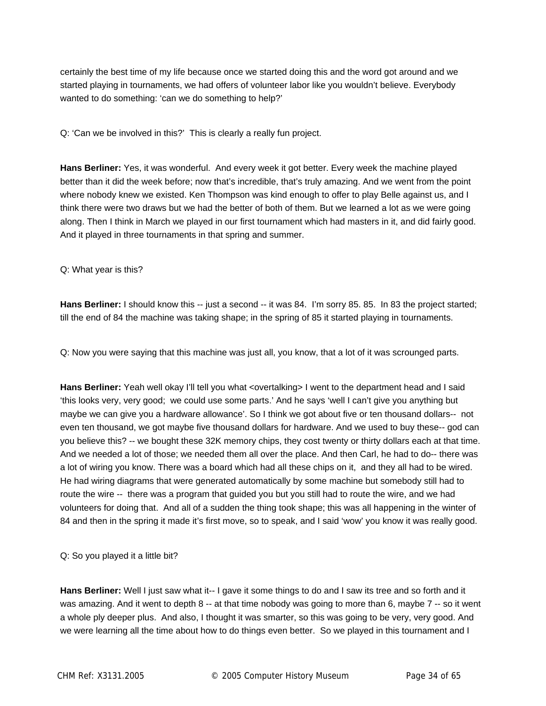certainly the best time of my life because once we started doing this and the word got around and we started playing in tournaments, we had offers of volunteer labor like you wouldn't believe. Everybody wanted to do something: 'can we do something to help?'

Q: 'Can we be involved in this?' This is clearly a really fun project.

**Hans Berliner:** Yes, it was wonderful. And every week it got better. Every week the machine played better than it did the week before; now that's incredible, that's truly amazing. And we went from the point where nobody knew we existed. Ken Thompson was kind enough to offer to play Belle against us, and I think there were two draws but we had the better of both of them. But we learned a lot as we were going along. Then I think in March we played in our first tournament which had masters in it, and did fairly good. And it played in three tournaments in that spring and summer.

Q: What year is this?

Hans Berliner: I should know this -- just a second -- it was 84. I'm sorry 85. 85. In 83 the project started; till the end of 84 the machine was taking shape; in the spring of 85 it started playing in tournaments.

Q: Now you were saying that this machine was just all, you know, that a lot of it was scrounged parts.

Hans Berliner: Yeah well okay I'll tell you what <overtalking> I went to the department head and I said 'this looks very, very good; we could use some parts.' And he says 'well I can't give you anything but maybe we can give you a hardware allowance'. So I think we got about five or ten thousand dollars-- not even ten thousand, we got maybe five thousand dollars for hardware. And we used to buy these-- god can you believe this? -- we bought these 32K memory chips, they cost twenty or thirty dollars each at that time. And we needed a lot of those; we needed them all over the place. And then Carl, he had to do-- there was a lot of wiring you know. There was a board which had all these chips on it, and they all had to be wired. He had wiring diagrams that were generated automatically by some machine but somebody still had to route the wire -- there was a program that guided you but you still had to route the wire, and we had volunteers for doing that. And all of a sudden the thing took shape; this was all happening in the winter of 84 and then in the spring it made it's first move, so to speak, and I said 'wow' you know it was really good.

Q: So you played it a little bit?

**Hans Berliner:** Well I just saw what it-- I gave it some things to do and I saw its tree and so forth and it was amazing. And it went to depth 8 -- at that time nobody was going to more than 6, maybe 7 -- so it went a whole ply deeper plus. And also, I thought it was smarter, so this was going to be very, very good. And we were learning all the time about how to do things even better. So we played in this tournament and I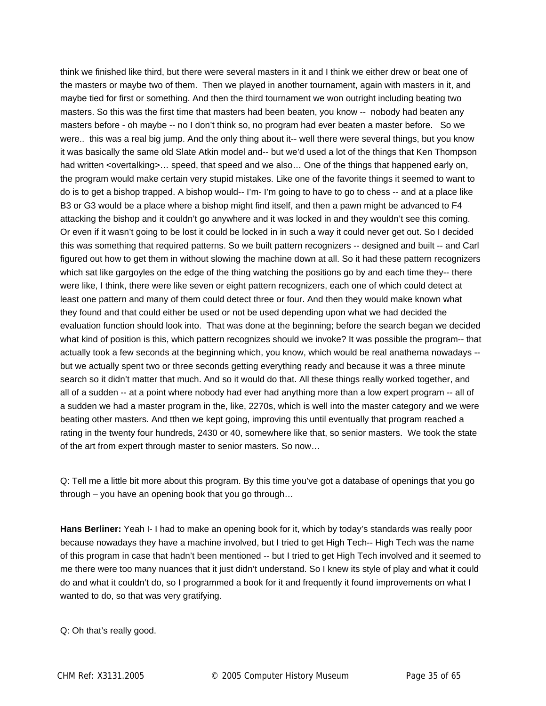think we finished like third, but there were several masters in it and I think we either drew or beat one of the masters or maybe two of them. Then we played in another tournament, again with masters in it, and maybe tied for first or something. And then the third tournament we won outright including beating two masters. So this was the first time that masters had been beaten, you know -- nobody had beaten any masters before - oh maybe -- no I don't think so, no program had ever beaten a master before. So we were.. this was a real big jump. And the only thing about it-- well there were several things, but you know it was basically the same old Slate Atkin model and-- but we'd used a lot of the things that Ken Thompson had written <overtalking>... speed, that speed and we also... One of the things that happened early on, the program would make certain very stupid mistakes. Like one of the favorite things it seemed to want to do is to get a bishop trapped. A bishop would-- I'm- I'm going to have to go to chess -- and at a place like B3 or G3 would be a place where a bishop might find itself, and then a pawn might be advanced to F4 attacking the bishop and it couldn't go anywhere and it was locked in and they wouldn't see this coming. Or even if it wasn't going to be lost it could be locked in in such a way it could never get out. So I decided this was something that required patterns. So we built pattern recognizers -- designed and built -- and Carl figured out how to get them in without slowing the machine down at all. So it had these pattern recognizers which sat like gargoyles on the edge of the thing watching the positions go by and each time they-- there were like, I think, there were like seven or eight pattern recognizers, each one of which could detect at least one pattern and many of them could detect three or four. And then they would make known what they found and that could either be used or not be used depending upon what we had decided the evaluation function should look into. That was done at the beginning; before the search began we decided what kind of position is this, which pattern recognizes should we invoke? It was possible the program-- that actually took a few seconds at the beginning which, you know, which would be real anathema nowadays - but we actually spent two or three seconds getting everything ready and because it was a three minute search so it didn't matter that much. And so it would do that. All these things really worked together, and all of a sudden -- at a point where nobody had ever had anything more than a low expert program -- all of a sudden we had a master program in the, like, 2270s, which is well into the master category and we were beating other masters. And tthen we kept going, improving this until eventually that program reached a rating in the twenty four hundreds, 2430 or 40, somewhere like that, so senior masters. We took the state of the art from expert through master to senior masters. So now…

Q: Tell me a little bit more about this program. By this time you've got a database of openings that you go through – you have an opening book that you go through…

**Hans Berliner:** Yeah I- I had to make an opening book for it, which by today's standards was really poor because nowadays they have a machine involved, but I tried to get High Tech-- High Tech was the name of this program in case that hadn't been mentioned -- but I tried to get High Tech involved and it seemed to me there were too many nuances that it just didn't understand. So I knew its style of play and what it could do and what it couldn't do, so I programmed a book for it and frequently it found improvements on what I wanted to do, so that was very gratifying.

Q: Oh that's really good.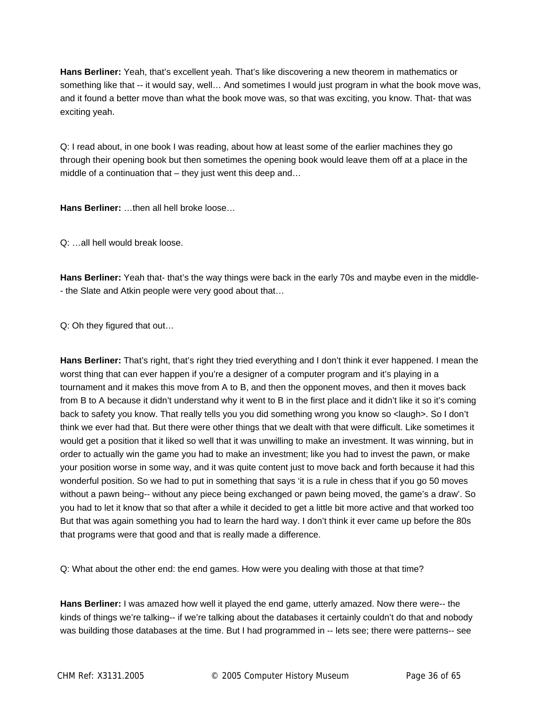**Hans Berliner:** Yeah, that's excellent yeah. That's like discovering a new theorem in mathematics or something like that -- it would say, well… And sometimes I would just program in what the book move was, and it found a better move than what the book move was, so that was exciting, you know. That- that was exciting yeah.

Q: I read about, in one book I was reading, about how at least some of the earlier machines they go through their opening book but then sometimes the opening book would leave them off at a place in the middle of a continuation that – they just went this deep and...

**Hans Berliner:** …then all hell broke loose…

Q: …all hell would break loose.

**Hans Berliner:** Yeah that- that's the way things were back in the early 70s and maybe even in the middle- - the Slate and Atkin people were very good about that…

Q: Oh they figured that out…

**Hans Berliner:** That's right, that's right they tried everything and I don't think it ever happened. I mean the worst thing that can ever happen if you're a designer of a computer program and it's playing in a tournament and it makes this move from A to B, and then the opponent moves, and then it moves back from B to A because it didn't understand why it went to B in the first place and it didn't like it so it's coming back to safety you know. That really tells you you did something wrong you know so <laugh>. So I don't think we ever had that. But there were other things that we dealt with that were difficult. Like sometimes it would get a position that it liked so well that it was unwilling to make an investment. It was winning, but in order to actually win the game you had to make an investment; like you had to invest the pawn, or make your position worse in some way, and it was quite content just to move back and forth because it had this wonderful position. So we had to put in something that says 'it is a rule in chess that if you go 50 moves without a pawn being-- without any piece being exchanged or pawn being moved, the game's a draw'. So you had to let it know that so that after a while it decided to get a little bit more active and that worked too But that was again something you had to learn the hard way. I don't think it ever came up before the 80s that programs were that good and that is really made a difference.

Q: What about the other end: the end games. How were you dealing with those at that time?

**Hans Berliner:** I was amazed how well it played the end game, utterly amazed. Now there were-- the kinds of things we're talking-- if we're talking about the databases it certainly couldn't do that and nobody was building those databases at the time. But I had programmed in -- lets see; there were patterns-- see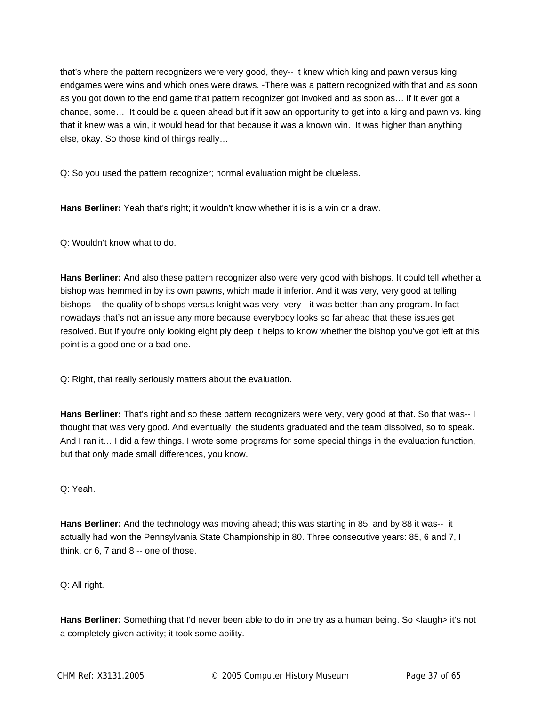that's where the pattern recognizers were very good, they-- it knew which king and pawn versus king endgames were wins and which ones were draws. -There was a pattern recognized with that and as soon as you got down to the end game that pattern recognizer got invoked and as soon as… if it ever got a chance, some… It could be a queen ahead but if it saw an opportunity to get into a king and pawn vs. king that it knew was a win, it would head for that because it was a known win. It was higher than anything else, okay. So those kind of things really…

Q: So you used the pattern recognizer; normal evaluation might be clueless.

**Hans Berliner:** Yeah that's right; it wouldn't know whether it is is a win or a draw.

Q: Wouldn't know what to do.

**Hans Berliner:** And also these pattern recognizer also were very good with bishops. It could tell whether a bishop was hemmed in by its own pawns, which made it inferior. And it was very, very good at telling bishops -- the quality of bishops versus knight was very- very-- it was better than any program. In fact nowadays that's not an issue any more because everybody looks so far ahead that these issues get resolved. But if you're only looking eight ply deep it helps to know whether the bishop you've got left at this point is a good one or a bad one.

Q: Right, that really seriously matters about the evaluation.

**Hans Berliner:** That's right and so these pattern recognizers were very, very good at that. So that was-- I thought that was very good. And eventually the students graduated and the team dissolved, so to speak. And I ran it… I did a few things. I wrote some programs for some special things in the evaluation function, but that only made small differences, you know.

Q: Yeah.

**Hans Berliner:** And the technology was moving ahead; this was starting in 85, and by 88 it was-- it actually had won the Pennsylvania State Championship in 80. Three consecutive years: 85, 6 and 7, I think, or 6, 7 and 8 -- one of those.

Q: All right.

**Hans Berliner:** Something that I'd never been able to do in one try as a human being. So <laugh> it's not a completely given activity; it took some ability.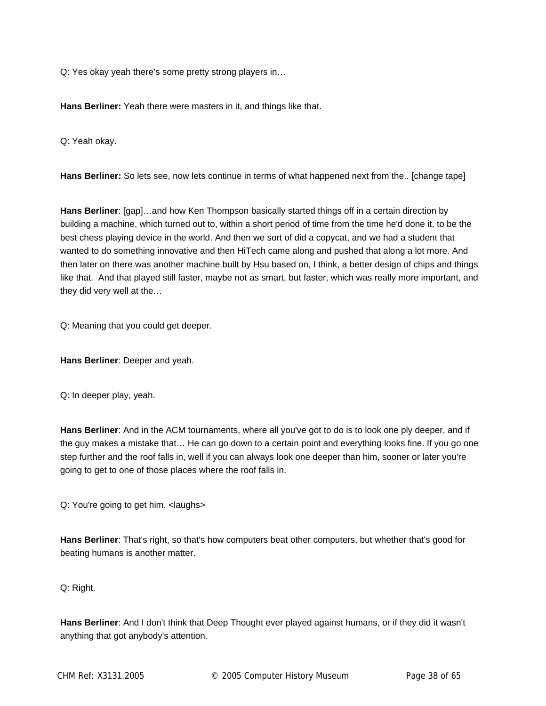Q: Yes okay yeah there's some pretty strong players in…

**Hans Berliner:** Yeah there were masters in it, and things like that.

Q: Yeah okay.

**Hans Berliner:** So lets see, now lets continue in terms of what happened next from the.. [change tape]

**Hans Berliner**: [gap]…and how Ken Thompson basically started things off in a certain direction by building a machine, which turned out to, within a short period of time from the time he'd done it, to be the best chess playing device in the world. And then we sort of did a copycat, and we had a student that wanted to do something innovative and then HiTech came along and pushed that along a lot more. And then later on there was another machine built by Hsu based on, I think, a better design of chips and things like that. And that played still faster, maybe not as smart, but faster, which was really more important, and they did very well at the…

Q: Meaning that you could get deeper.

**Hans Berliner**: Deeper and yeah.

Q: In deeper play, yeah.

**Hans Berliner**: And in the ACM tournaments, where all you've got to do is to look one ply deeper, and if the guy makes a mistake that… He can go down to a certain point and everything looks fine. If you go one step further and the roof falls in, well if you can always look one deeper than him, sooner or later you're going to get to one of those places where the roof falls in.

Q: You're going to get him. <laughs>

**Hans Berliner**: That's right, so that's how computers beat other computers, but whether that's good for beating humans is another matter.

Q: Right.

**Hans Berliner**: And I don't think that Deep Thought ever played against humans, or if they did it wasn't anything that got anybody's attention.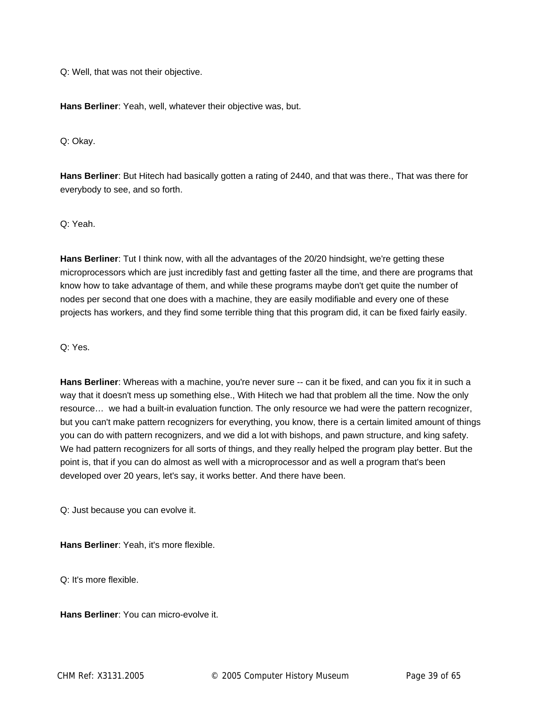Q: Well, that was not their objective.

**Hans Berliner**: Yeah, well, whatever their objective was, but.

Q: Okay.

**Hans Berliner**: But Hitech had basically gotten a rating of 2440, and that was there., That was there for everybody to see, and so forth.

Q: Yeah.

**Hans Berliner**: Tut I think now, with all the advantages of the 20/20 hindsight, we're getting these microprocessors which are just incredibly fast and getting faster all the time, and there are programs that know how to take advantage of them, and while these programs maybe don't get quite the number of nodes per second that one does with a machine, they are easily modifiable and every one of these projects has workers, and they find some terrible thing that this program did, it can be fixed fairly easily.

Q: Yes.

**Hans Berliner**: Whereas with a machine, you're never sure -- can it be fixed, and can you fix it in such a way that it doesn't mess up something else., With Hitech we had that problem all the time. Now the only resource… we had a built-in evaluation function. The only resource we had were the pattern recognizer, but you can't make pattern recognizers for everything, you know, there is a certain limited amount of things you can do with pattern recognizers, and we did a lot with bishops, and pawn structure, and king safety. We had pattern recognizers for all sorts of things, and they really helped the program play better. But the point is, that if you can do almost as well with a microprocessor and as well a program that's been developed over 20 years, let's say, it works better. And there have been.

Q: Just because you can evolve it.

**Hans Berliner**: Yeah, it's more flexible.

Q: It's more flexible.

**Hans Berliner**: You can micro-evolve it.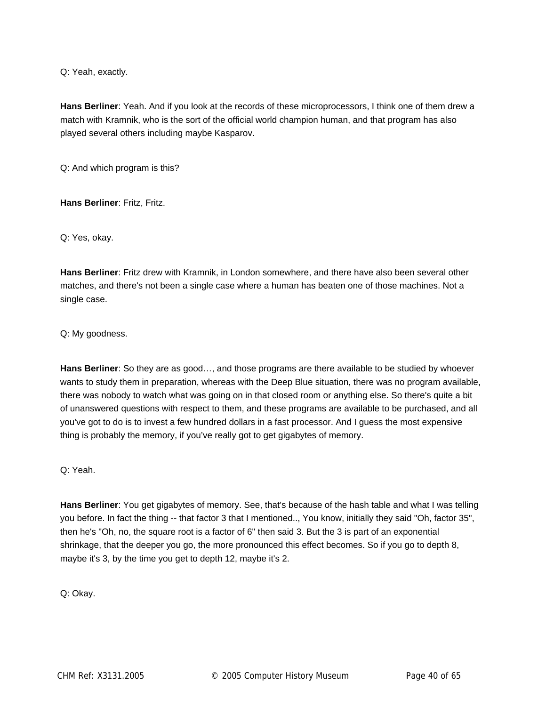Q: Yeah, exactly.

**Hans Berliner**: Yeah. And if you look at the records of these microprocessors, I think one of them drew a match with Kramnik, who is the sort of the official world champion human, and that program has also played several others including maybe Kasparov.

Q: And which program is this?

**Hans Berliner**: Fritz, Fritz.

Q: Yes, okay.

**Hans Berliner**: Fritz drew with Kramnik, in London somewhere, and there have also been several other matches, and there's not been a single case where a human has beaten one of those machines. Not a single case.

Q: My goodness.

**Hans Berliner**: So they are as good…, and those programs are there available to be studied by whoever wants to study them in preparation, whereas with the Deep Blue situation, there was no program available, there was nobody to watch what was going on in that closed room or anything else. So there's quite a bit of unanswered questions with respect to them, and these programs are available to be purchased, and all you've got to do is to invest a few hundred dollars in a fast processor. And I guess the most expensive thing is probably the memory, if you've really got to get gigabytes of memory.

Q: Yeah.

**Hans Berliner**: You get gigabytes of memory. See, that's because of the hash table and what I was telling you before. In fact the thing -- that factor 3 that I mentioned.., You know, initially they said "Oh, factor 35", then he's "Oh, no, the square root is a factor of 6" then said 3. But the 3 is part of an exponential shrinkage, that the deeper you go, the more pronounced this effect becomes. So if you go to depth 8, maybe it's 3, by the time you get to depth 12, maybe it's 2.

Q: Okay.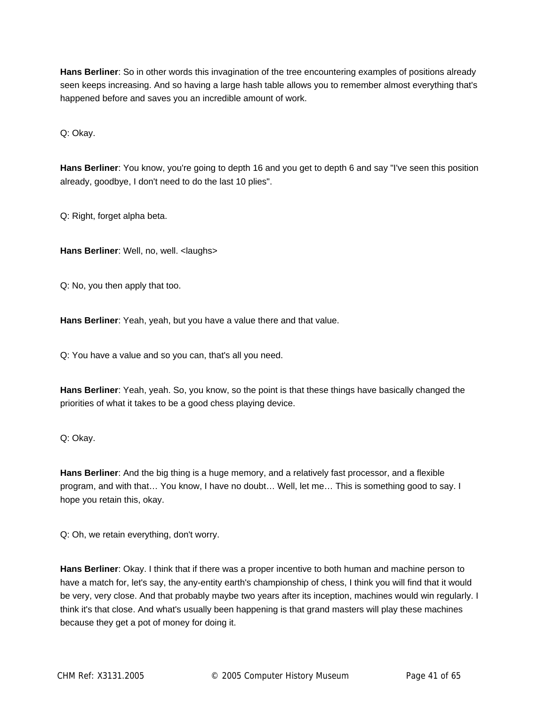**Hans Berliner**: So in other words this invagination of the tree encountering examples of positions already seen keeps increasing. And so having a large hash table allows you to remember almost everything that's happened before and saves you an incredible amount of work.

Q: Okay.

**Hans Berliner**: You know, you're going to depth 16 and you get to depth 6 and say "I've seen this position already, goodbye, I don't need to do the last 10 plies".

Q: Right, forget alpha beta.

**Hans Berliner: Well, no, well. < laughs>** 

Q: No, you then apply that too.

**Hans Berliner**: Yeah, yeah, but you have a value there and that value.

Q: You have a value and so you can, that's all you need.

**Hans Berliner**: Yeah, yeah. So, you know, so the point is that these things have basically changed the priorities of what it takes to be a good chess playing device.

Q: Okay.

**Hans Berliner**: And the big thing is a huge memory, and a relatively fast processor, and a flexible program, and with that… You know, I have no doubt… Well, let me… This is something good to say. I hope you retain this, okay.

Q: Oh, we retain everything, don't worry.

**Hans Berliner**: Okay. I think that if there was a proper incentive to both human and machine person to have a match for, let's say, the any-entity earth's championship of chess, I think you will find that it would be very, very close. And that probably maybe two years after its inception, machines would win regularly. I think it's that close. And what's usually been happening is that grand masters will play these machines because they get a pot of money for doing it.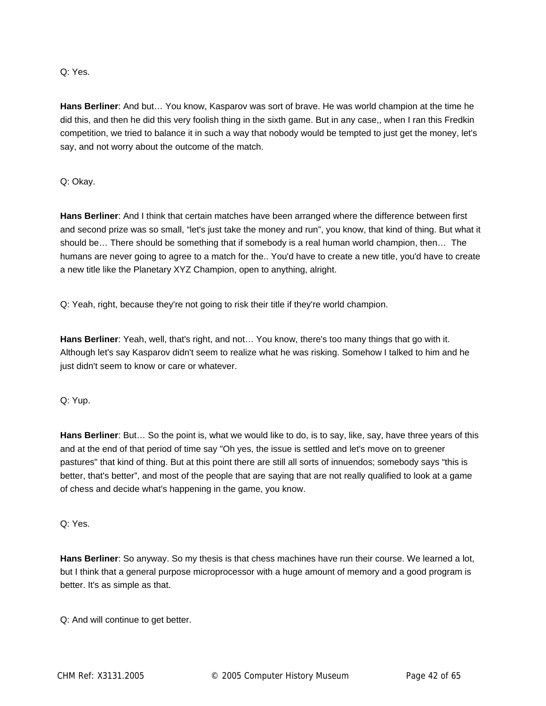Q: Yes.

**Hans Berliner**: And but… You know, Kasparov was sort of brave. He was world champion at the time he did this, and then he did this very foolish thing in the sixth game. But in any case,, when I ran this Fredkin competition, we tried to balance it in such a way that nobody would be tempted to just get the money, let's say, and not worry about the outcome of the match.

Q: Okay.

**Hans Berliner**: And I think that certain matches have been arranged where the difference between first and second prize was so small, "let's just take the money and run", you know, that kind of thing. But what it should be… There should be something that if somebody is a real human world champion, then… The humans are never going to agree to a match for the.. You'd have to create a new title, you'd have to create a new title like the Planetary XYZ Champion, open to anything, alright.

Q: Yeah, right, because they're not going to risk their title if they're world champion.

**Hans Berliner**: Yeah, well, that's right, and not… You know, there's too many things that go with it. Although let's say Kasparov didn't seem to realize what he was risking. Somehow I talked to him and he just didn't seem to know or care or whatever.

Q: Yup.

**Hans Berliner**: But… So the point is, what we would like to do, is to say, like, say, have three years of this and at the end of that period of time say "Oh yes, the issue is settled and let's move on to greener pastures" that kind of thing. But at this point there are still all sorts of innuendos; somebody says "this is better, that's better", and most of the people that are saying that are not really qualified to look at a game of chess and decide what's happening in the game, you know.

Q: Yes.

**Hans Berliner**: So anyway. So my thesis is that chess machines have run their course. We learned a lot, but I think that a general purpose microprocessor with a huge amount of memory and a good program is better. It's as simple as that.

Q: And will continue to get better.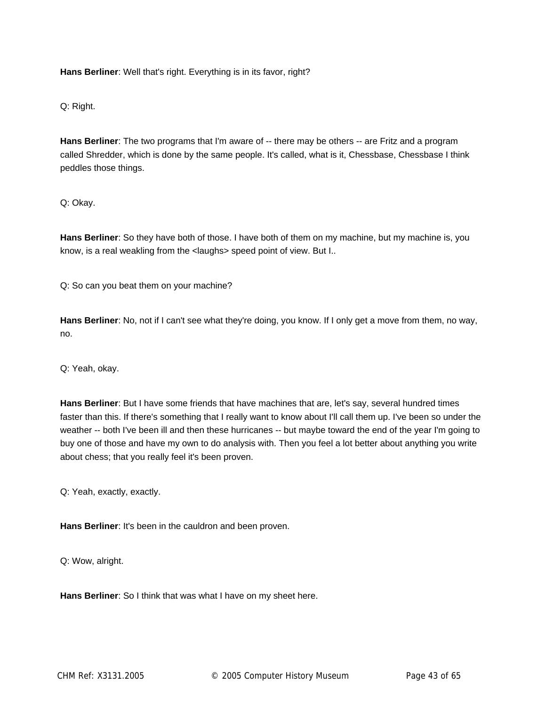**Hans Berliner**: Well that's right. Everything is in its favor, right?

Q: Right.

**Hans Berliner**: The two programs that I'm aware of -- there may be others -- are Fritz and a program called Shredder, which is done by the same people. It's called, what is it, Chessbase, Chessbase I think peddles those things.

Q: Okay.

**Hans Berliner**: So they have both of those. I have both of them on my machine, but my machine is, you know, is a real weakling from the <laughs> speed point of view. But I..

Q: So can you beat them on your machine?

**Hans Berliner**: No, not if I can't see what they're doing, you know. If I only get a move from them, no way, no.

Q: Yeah, okay.

**Hans Berliner**: But I have some friends that have machines that are, let's say, several hundred times faster than this. If there's something that I really want to know about I'll call them up. I've been so under the weather -- both I've been ill and then these hurricanes -- but maybe toward the end of the year I'm going to buy one of those and have my own to do analysis with. Then you feel a lot better about anything you write about chess; that you really feel it's been proven.

Q: Yeah, exactly, exactly.

**Hans Berliner**: It's been in the cauldron and been proven.

Q: Wow, alright.

**Hans Berliner**: So I think that was what I have on my sheet here.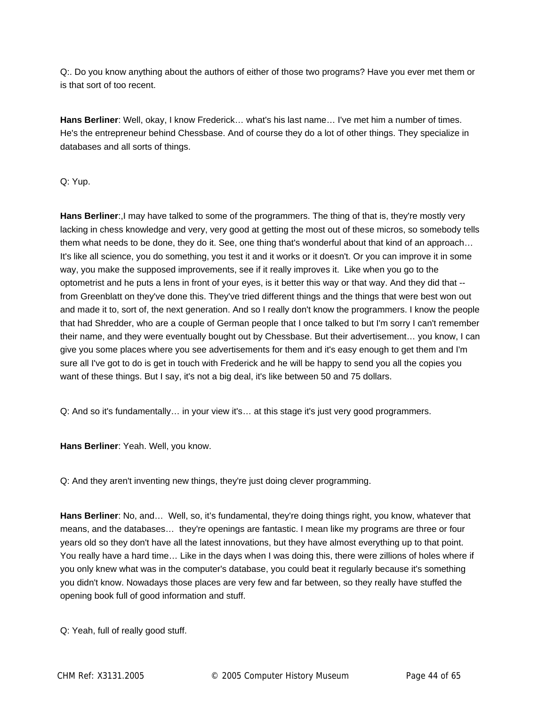Q:. Do you know anything about the authors of either of those two programs? Have you ever met them or is that sort of too recent.

**Hans Berliner**: Well, okay, I know Frederick… what's his last name… I've met him a number of times. He's the entrepreneur behind Chessbase. And of course they do a lot of other things. They specialize in databases and all sorts of things.

#### Q: Yup.

**Hans Berliner**:,I may have talked to some of the programmers. The thing of that is, they're mostly very lacking in chess knowledge and very, very good at getting the most out of these micros, so somebody tells them what needs to be done, they do it. See, one thing that's wonderful about that kind of an approach… It's like all science, you do something, you test it and it works or it doesn't. Or you can improve it in some way, you make the supposed improvements, see if it really improves it. Like when you go to the optometrist and he puts a lens in front of your eyes, is it better this way or that way. And they did that - from Greenblatt on they've done this. They've tried different things and the things that were best won out and made it to, sort of, the next generation. And so I really don't know the programmers. I know the people that had Shredder, who are a couple of German people that I once talked to but I'm sorry I can't remember their name, and they were eventually bought out by Chessbase. But their advertisement… you know, I can give you some places where you see advertisements for them and it's easy enough to get them and I'm sure all I've got to do is get in touch with Frederick and he will be happy to send you all the copies you want of these things. But I say, it's not a big deal, it's like between 50 and 75 dollars.

Q: And so it's fundamentally… in your view it's… at this stage it's just very good programmers.

**Hans Berliner**: Yeah. Well, you know.

Q: And they aren't inventing new things, they're just doing clever programming.

**Hans Berliner**: No, and… Well, so, it's fundamental, they're doing things right, you know, whatever that means, and the databases… they're openings are fantastic. I mean like my programs are three or four years old so they don't have all the latest innovations, but they have almost everything up to that point. You really have a hard time… Like in the days when I was doing this, there were zillions of holes where if you only knew what was in the computer's database, you could beat it regularly because it's something you didn't know. Nowadays those places are very few and far between, so they really have stuffed the opening book full of good information and stuff.

Q: Yeah, full of really good stuff.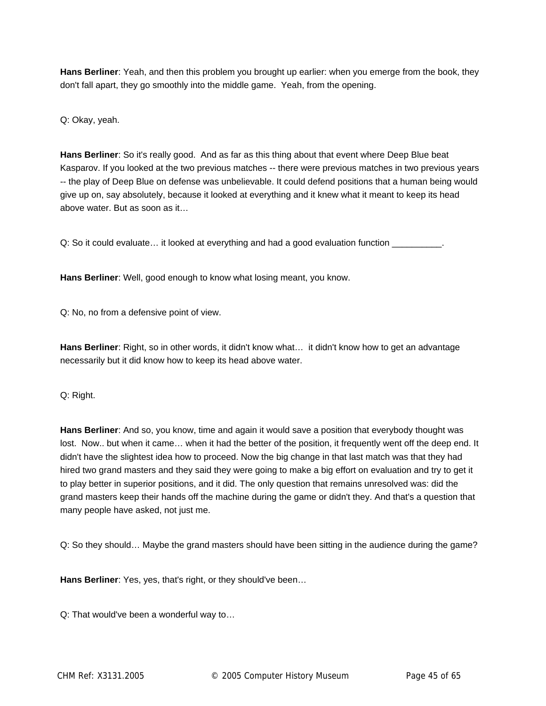**Hans Berliner**: Yeah, and then this problem you brought up earlier: when you emerge from the book, they don't fall apart, they go smoothly into the middle game. Yeah, from the opening.

Q: Okay, yeah.

**Hans Berliner**: So it's really good. And as far as this thing about that event where Deep Blue beat Kasparov. If you looked at the two previous matches -- there were previous matches in two previous years -- the play of Deep Blue on defense was unbelievable. It could defend positions that a human being would give up on, say absolutely, because it looked at everything and it knew what it meant to keep its head above water. But as soon as it…

Q: So it could evaluate... it looked at everything and had a good evaluation function  $\sqrt{ }$ 

**Hans Berliner**: Well, good enough to know what losing meant, you know.

Q: No, no from a defensive point of view.

**Hans Berliner**: Right, so in other words, it didn't know what… it didn't know how to get an advantage necessarily but it did know how to keep its head above water.

Q: Right.

**Hans Berliner**: And so, you know, time and again it would save a position that everybody thought was lost. Now.. but when it came… when it had the better of the position, it frequently went off the deep end. It didn't have the slightest idea how to proceed. Now the big change in that last match was that they had hired two grand masters and they said they were going to make a big effort on evaluation and try to get it to play better in superior positions, and it did. The only question that remains unresolved was: did the grand masters keep their hands off the machine during the game or didn't they. And that's a question that many people have asked, not just me.

Q: So they should… Maybe the grand masters should have been sitting in the audience during the game?

**Hans Berliner**: Yes, yes, that's right, or they should've been…

Q: That would've been a wonderful way to…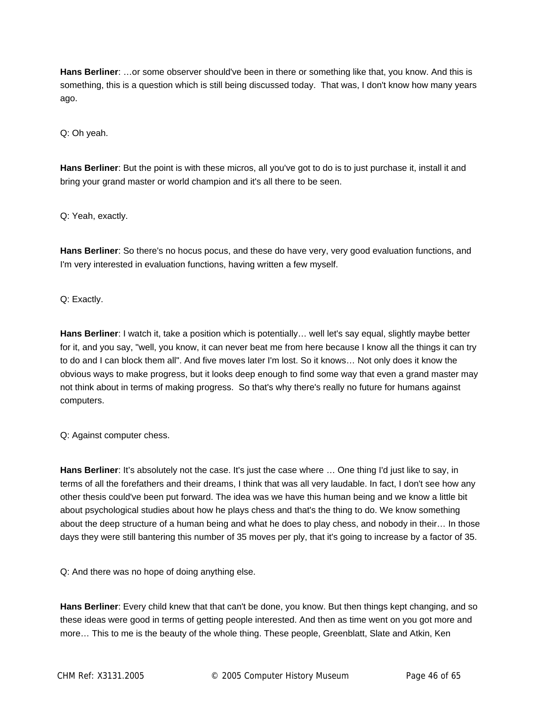**Hans Berliner**: …or some observer should've been in there or something like that, you know. And this is something, this is a question which is still being discussed today. That was, I don't know how many years ago.

Q: Oh yeah.

**Hans Berliner**: But the point is with these micros, all you've got to do is to just purchase it, install it and bring your grand master or world champion and it's all there to be seen.

Q: Yeah, exactly.

**Hans Berliner**: So there's no hocus pocus, and these do have very, very good evaluation functions, and I'm very interested in evaluation functions, having written a few myself.

Q: Exactly.

**Hans Berliner**: I watch it, take a position which is potentially… well let's say equal, slightly maybe better for it, and you say, "well, you know, it can never beat me from here because I know all the things it can try to do and I can block them all". And five moves later I'm lost. So it knows… Not only does it know the obvious ways to make progress, but it looks deep enough to find some way that even a grand master may not think about in terms of making progress. So that's why there's really no future for humans against computers.

Q: Against computer chess.

**Hans Berliner**: It's absolutely not the case. It's just the case where … One thing I'd just like to say, in terms of all the forefathers and their dreams, I think that was all very laudable. In fact, I don't see how any other thesis could've been put forward. The idea was we have this human being and we know a little bit about psychological studies about how he plays chess and that's the thing to do. We know something about the deep structure of a human being and what he does to play chess, and nobody in their… In those days they were still bantering this number of 35 moves per ply, that it's going to increase by a factor of 35.

Q: And there was no hope of doing anything else.

**Hans Berliner**: Every child knew that that can't be done, you know. But then things kept changing, and so these ideas were good in terms of getting people interested. And then as time went on you got more and more… This to me is the beauty of the whole thing. These people, Greenblatt, Slate and Atkin, Ken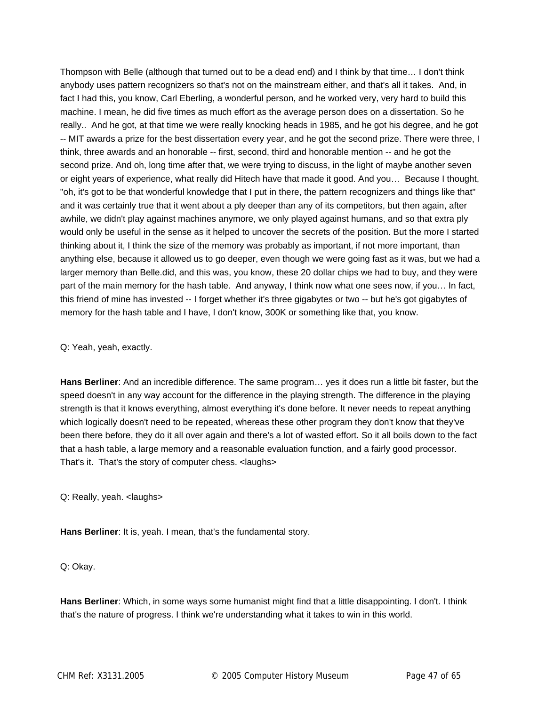Thompson with Belle (although that turned out to be a dead end) and I think by that time… I don't think anybody uses pattern recognizers so that's not on the mainstream either, and that's all it takes. And, in fact I had this, you know, Carl Eberling, a wonderful person, and he worked very, very hard to build this machine. I mean, he did five times as much effort as the average person does on a dissertation. So he really.. And he got, at that time we were really knocking heads in 1985, and he got his degree, and he got -- MIT awards a prize for the best dissertation every year, and he got the second prize. There were three, I think, three awards and an honorable -- first, second, third and honorable mention -- and he got the second prize. And oh, long time after that, we were trying to discuss, in the light of maybe another seven or eight years of experience, what really did Hitech have that made it good. And you… Because I thought, "oh, it's got to be that wonderful knowledge that I put in there, the pattern recognizers and things like that" and it was certainly true that it went about a ply deeper than any of its competitors, but then again, after awhile, we didn't play against machines anymore, we only played against humans, and so that extra ply would only be useful in the sense as it helped to uncover the secrets of the position. But the more I started thinking about it, I think the size of the memory was probably as important, if not more important, than anything else, because it allowed us to go deeper, even though we were going fast as it was, but we had a larger memory than Belle.did, and this was, you know, these 20 dollar chips we had to buy, and they were part of the main memory for the hash table. And anyway, I think now what one sees now, if you… In fact, this friend of mine has invested -- I forget whether it's three gigabytes or two -- but he's got gigabytes of memory for the hash table and I have, I don't know, 300K or something like that, you know.

Q: Yeah, yeah, exactly.

**Hans Berliner**: And an incredible difference. The same program… yes it does run a little bit faster, but the speed doesn't in any way account for the difference in the playing strength. The difference in the playing strength is that it knows everything, almost everything it's done before. It never needs to repeat anything which logically doesn't need to be repeated, whereas these other program they don't know that they've been there before, they do it all over again and there's a lot of wasted effort. So it all boils down to the fact that a hash table, a large memory and a reasonable evaluation function, and a fairly good processor. That's it. That's the story of computer chess. <laughs>

Q: Really, yeah. <laughs>

**Hans Berliner**: It is, yeah. I mean, that's the fundamental story.

Q: Okay.

**Hans Berliner**: Which, in some ways some humanist might find that a little disappointing. I don't. I think that's the nature of progress. I think we're understanding what it takes to win in this world.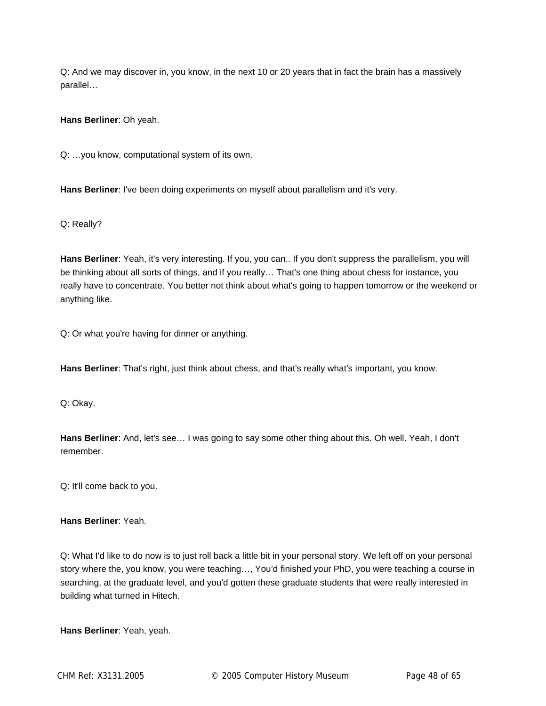Q: And we may discover in, you know, in the next 10 or 20 years that in fact the brain has a massively parallel…

**Hans Berliner**: Oh yeah.

Q: …you know, computational system of its own.

**Hans Berliner**: I've been doing experiments on myself about parallelism and it's very.

Q: Really?

**Hans Berliner**: Yeah, it's very interesting. If you, you can.. If you don't suppress the parallelism, you will be thinking about all sorts of things, and if you really… That's one thing about chess for instance, you really have to concentrate. You better not think about what's going to happen tomorrow or the weekend or anything like.

Q: Or what you're having for dinner or anything.

**Hans Berliner**: That's right, just think about chess, and that's really what's important, you know.

Q: Okay.

**Hans Berliner**: And, let's see… I was going to say some other thing about this. Oh well. Yeah, I don't remember.

Q: It'll come back to you.

**Hans Berliner**: Yeah.

Q: What I'd like to do now is to just roll back a little bit in your personal story. We left off on your personal story where the, you know, you were teaching…, You'd finished your PhD, you were teaching a course in searching, at the graduate level, and you'd gotten these graduate students that were really interested in building what turned in Hitech.

**Hans Berliner**: Yeah, yeah.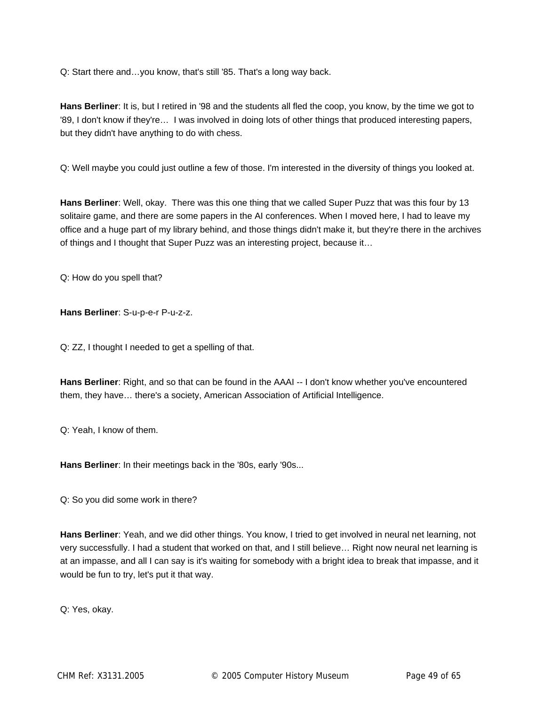Q: Start there and…you know, that's still '85. That's a long way back.

**Hans Berliner**: It is, but I retired in '98 and the students all fled the coop, you know, by the time we got to '89, I don't know if they're… I was involved in doing lots of other things that produced interesting papers, but they didn't have anything to do with chess.

Q: Well maybe you could just outline a few of those. I'm interested in the diversity of things you looked at.

**Hans Berliner**: Well, okay. There was this one thing that we called Super Puzz that was this four by 13 solitaire game, and there are some papers in the AI conferences. When I moved here, I had to leave my office and a huge part of my library behind, and those things didn't make it, but they're there in the archives of things and I thought that Super Puzz was an interesting project, because it…

Q: How do you spell that?

**Hans Berliner**: S-u-p-e-r P-u-z-z.

Q: ZZ, I thought I needed to get a spelling of that.

**Hans Berliner**: Right, and so that can be found in the AAAI -- I don't know whether you've encountered them, they have… there's a society, American Association of Artificial Intelligence.

Q: Yeah, I know of them.

**Hans Berliner**: In their meetings back in the '80s, early '90s...

Q: So you did some work in there?

**Hans Berliner**: Yeah, and we did other things. You know, I tried to get involved in neural net learning, not very successfully. I had a student that worked on that, and I still believe… Right now neural net learning is at an impasse, and all I can say is it's waiting for somebody with a bright idea to break that impasse, and it would be fun to try, let's put it that way.

Q: Yes, okay.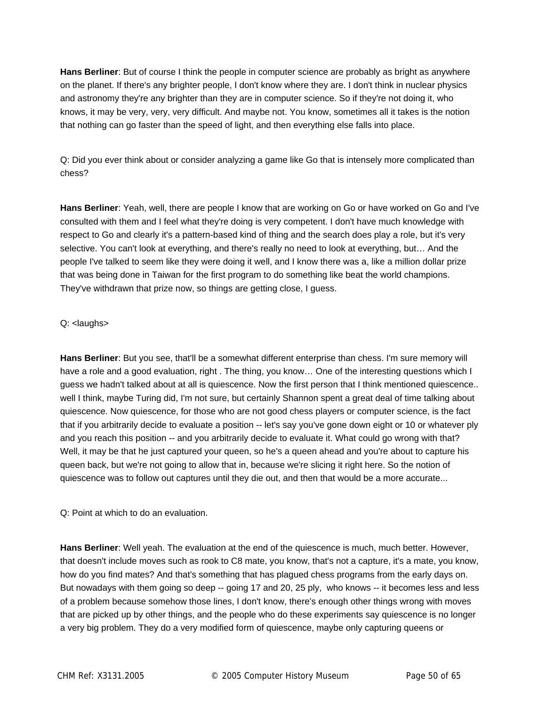**Hans Berliner**: But of course I think the people in computer science are probably as bright as anywhere on the planet. If there's any brighter people, I don't know where they are. I don't think in nuclear physics and astronomy they're any brighter than they are in computer science. So if they're not doing it, who knows, it may be very, very, very difficult. And maybe not. You know, sometimes all it takes is the notion that nothing can go faster than the speed of light, and then everything else falls into place.

Q: Did you ever think about or consider analyzing a game like Go that is intensely more complicated than chess?

**Hans Berliner**: Yeah, well, there are people I know that are working on Go or have worked on Go and I've consulted with them and I feel what they're doing is very competent. I don't have much knowledge with respect to Go and clearly it's a pattern-based kind of thing and the search does play a role, but it's very selective. You can't look at everything, and there's really no need to look at everything, but… And the people I've talked to seem like they were doing it well, and I know there was a, like a million dollar prize that was being done in Taiwan for the first program to do something like beat the world champions. They've withdrawn that prize now, so things are getting close, I guess.

## Q: <laughs>

**Hans Berliner**: But you see, that'll be a somewhat different enterprise than chess. I'm sure memory will have a role and a good evaluation, right . The thing, you know... One of the interesting questions which I guess we hadn't talked about at all is quiescence. Now the first person that I think mentioned quiescence.. well I think, maybe Turing did, I'm not sure, but certainly Shannon spent a great deal of time talking about quiescence. Now quiescence, for those who are not good chess players or computer science, is the fact that if you arbitrarily decide to evaluate a position -- let's say you've gone down eight or 10 or whatever ply and you reach this position -- and you arbitrarily decide to evaluate it. What could go wrong with that? Well, it may be that he just captured your queen, so he's a queen ahead and you're about to capture his queen back, but we're not going to allow that in, because we're slicing it right here. So the notion of quiescence was to follow out captures until they die out, and then that would be a more accurate...

Q: Point at which to do an evaluation.

**Hans Berliner**: Well yeah. The evaluation at the end of the quiescence is much, much better. However, that doesn't include moves such as rook to C8 mate, you know, that's not a capture, it's a mate, you know, how do you find mates? And that's something that has plagued chess programs from the early days on. But nowadays with them going so deep -- going 17 and 20, 25 ply, who knows -- it becomes less and less of a problem because somehow those lines, I don't know, there's enough other things wrong with moves that are picked up by other things, and the people who do these experiments say quiescence is no longer a very big problem. They do a very modified form of quiescence, maybe only capturing queens or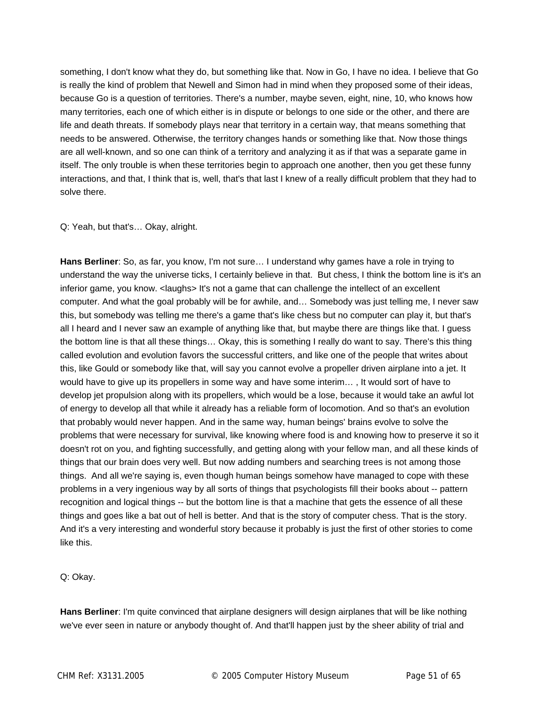something, I don't know what they do, but something like that. Now in Go, I have no idea. I believe that Go is really the kind of problem that Newell and Simon had in mind when they proposed some of their ideas, because Go is a question of territories. There's a number, maybe seven, eight, nine, 10, who knows how many territories, each one of which either is in dispute or belongs to one side or the other, and there are life and death threats. If somebody plays near that territory in a certain way, that means something that needs to be answered. Otherwise, the territory changes hands or something like that. Now those things are all well-known, and so one can think of a territory and analyzing it as if that was a separate game in itself. The only trouble is when these territories begin to approach one another, then you get these funny interactions, and that, I think that is, well, that's that last I knew of a really difficult problem that they had to solve there.

#### Q: Yeah, but that's… Okay, alright.

**Hans Berliner**: So, as far, you know, I'm not sure… I understand why games have a role in trying to understand the way the universe ticks, I certainly believe in that. But chess, I think the bottom line is it's an inferior game, you know. <laughs> It's not a game that can challenge the intellect of an excellent computer. And what the goal probably will be for awhile, and… Somebody was just telling me, I never saw this, but somebody was telling me there's a game that's like chess but no computer can play it, but that's all I heard and I never saw an example of anything like that, but maybe there are things like that. I guess the bottom line is that all these things… Okay, this is something I really do want to say. There's this thing called evolution and evolution favors the successful critters, and like one of the people that writes about this, like Gould or somebody like that, will say you cannot evolve a propeller driven airplane into a jet. It would have to give up its propellers in some way and have some interim… , It would sort of have to develop jet propulsion along with its propellers, which would be a lose, because it would take an awful lot of energy to develop all that while it already has a reliable form of locomotion. And so that's an evolution that probably would never happen. And in the same way, human beings' brains evolve to solve the problems that were necessary for survival, like knowing where food is and knowing how to preserve it so it doesn't rot on you, and fighting successfully, and getting along with your fellow man, and all these kinds of things that our brain does very well. But now adding numbers and searching trees is not among those things. And all we're saying is, even though human beings somehow have managed to cope with these problems in a very ingenious way by all sorts of things that psychologists fill their books about -- pattern recognition and logical things -- but the bottom line is that a machine that gets the essence of all these things and goes like a bat out of hell is better. And that is the story of computer chess. That is the story. And it's a very interesting and wonderful story because it probably is just the first of other stories to come like this.

Q: Okay.

**Hans Berliner**: I'm quite convinced that airplane designers will design airplanes that will be like nothing we've ever seen in nature or anybody thought of. And that'll happen just by the sheer ability of trial and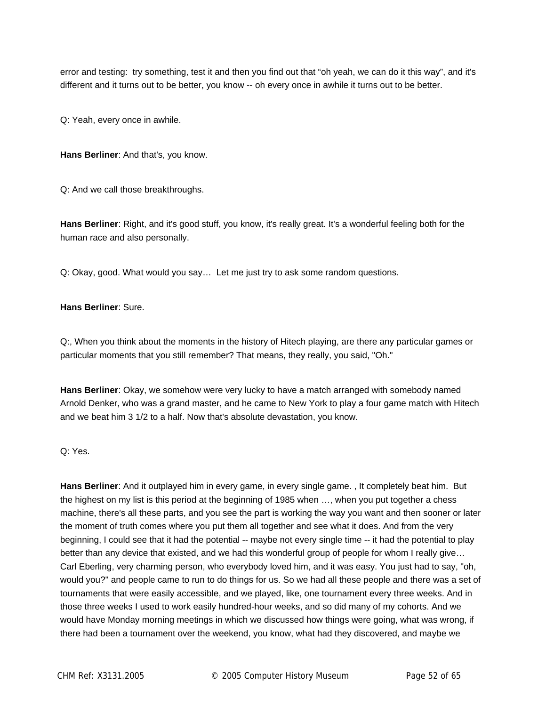error and testing: try something, test it and then you find out that "oh yeah, we can do it this way", and it's different and it turns out to be better, you know -- oh every once in awhile it turns out to be better.

Q: Yeah, every once in awhile.

**Hans Berliner**: And that's, you know.

Q: And we call those breakthroughs.

**Hans Berliner**: Right, and it's good stuff, you know, it's really great. It's a wonderful feeling both for the human race and also personally.

Q: Okay, good. What would you say… Let me just try to ask some random questions.

#### **Hans Berliner**: Sure.

Q:, When you think about the moments in the history of Hitech playing, are there any particular games or particular moments that you still remember? That means, they really, you said, "Oh."

**Hans Berliner**: Okay, we somehow were very lucky to have a match arranged with somebody named Arnold Denker, who was a grand master, and he came to New York to play a four game match with Hitech and we beat him 3 1/2 to a half. Now that's absolute devastation, you know.

# Q: Yes.

**Hans Berliner**: And it outplayed him in every game, in every single game. , It completely beat him. But the highest on my list is this period at the beginning of 1985 when …, when you put together a chess machine, there's all these parts, and you see the part is working the way you want and then sooner or later the moment of truth comes where you put them all together and see what it does. And from the very beginning, I could see that it had the potential -- maybe not every single time -- it had the potential to play better than any device that existed, and we had this wonderful group of people for whom I really give... Carl Eberling, very charming person, who everybody loved him, and it was easy. You just had to say, "oh, would you?" and people came to run to do things for us. So we had all these people and there was a set of tournaments that were easily accessible, and we played, like, one tournament every three weeks. And in those three weeks I used to work easily hundred-hour weeks, and so did many of my cohorts. And we would have Monday morning meetings in which we discussed how things were going, what was wrong, if there had been a tournament over the weekend, you know, what had they discovered, and maybe we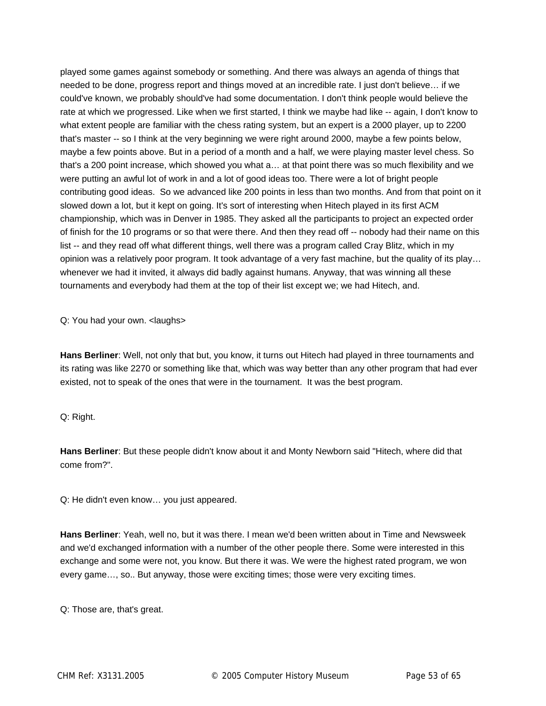played some games against somebody or something. And there was always an agenda of things that needed to be done, progress report and things moved at an incredible rate. I just don't believe… if we could've known, we probably should've had some documentation. I don't think people would believe the rate at which we progressed. Like when we first started, I think we maybe had like -- again, I don't know to what extent people are familiar with the chess rating system, but an expert is a 2000 player, up to 2200 that's master -- so I think at the very beginning we were right around 2000, maybe a few points below, maybe a few points above. But in a period of a month and a half, we were playing master level chess. So that's a 200 point increase, which showed you what a… at that point there was so much flexibility and we were putting an awful lot of work in and a lot of good ideas too. There were a lot of bright people contributing good ideas. So we advanced like 200 points in less than two months. And from that point on it slowed down a lot, but it kept on going. It's sort of interesting when Hitech played in its first ACM championship, which was in Denver in 1985. They asked all the participants to project an expected order of finish for the 10 programs or so that were there. And then they read off -- nobody had their name on this list -- and they read off what different things, well there was a program called Cray Blitz, which in my opinion was a relatively poor program. It took advantage of a very fast machine, but the quality of its play… whenever we had it invited, it always did badly against humans. Anyway, that was winning all these tournaments and everybody had them at the top of their list except we; we had Hitech, and.

Q: You had your own. <laughs>

**Hans Berliner**: Well, not only that but, you know, it turns out Hitech had played in three tournaments and its rating was like 2270 or something like that, which was way better than any other program that had ever existed, not to speak of the ones that were in the tournament. It was the best program.

Q: Right.

**Hans Berliner**: But these people didn't know about it and Monty Newborn said "Hitech, where did that come from?".

Q: He didn't even know… you just appeared.

**Hans Berliner**: Yeah, well no, but it was there. I mean we'd been written about in Time and Newsweek and we'd exchanged information with a number of the other people there. Some were interested in this exchange and some were not, you know. But there it was. We were the highest rated program, we won every game…, so.. But anyway, those were exciting times; those were very exciting times.

Q: Those are, that's great.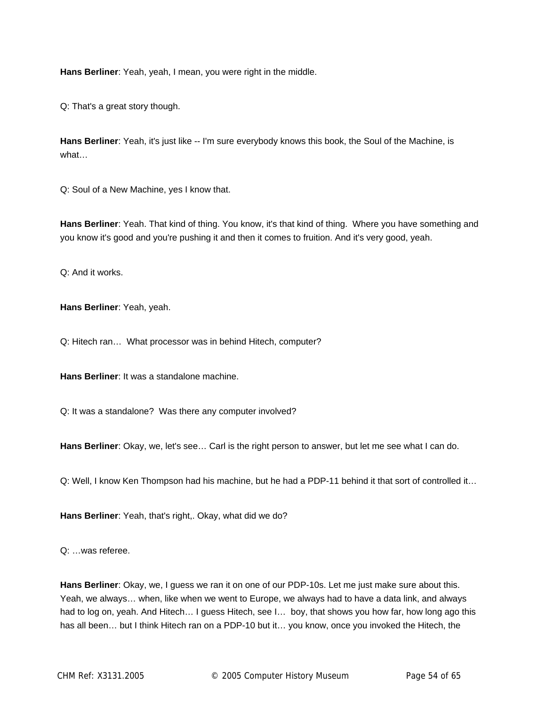**Hans Berliner**: Yeah, yeah, I mean, you were right in the middle.

Q: That's a great story though.

**Hans Berliner**: Yeah, it's just like -- I'm sure everybody knows this book, the Soul of the Machine, is what…

Q: Soul of a New Machine, yes I know that.

**Hans Berliner**: Yeah. That kind of thing. You know, it's that kind of thing. Where you have something and you know it's good and you're pushing it and then it comes to fruition. And it's very good, yeah.

Q: And it works.

**Hans Berliner**: Yeah, yeah.

Q: Hitech ran… What processor was in behind Hitech, computer?

**Hans Berliner**: It was a standalone machine.

Q: It was a standalone? Was there any computer involved?

**Hans Berliner**: Okay, we, let's see… Carl is the right person to answer, but let me see what I can do.

Q: Well, I know Ken Thompson had his machine, but he had a PDP-11 behind it that sort of controlled it…

**Hans Berliner**: Yeah, that's right,. Okay, what did we do?

Q: …was referee.

**Hans Berliner**: Okay, we, I guess we ran it on one of our PDP-10s. Let me just make sure about this. Yeah, we always… when, like when we went to Europe, we always had to have a data link, and always had to log on, yeah. And Hitech... I guess Hitech, see I... boy, that shows you how far, how long ago this has all been... but I think Hitech ran on a PDP-10 but it... you know, once you invoked the Hitech, the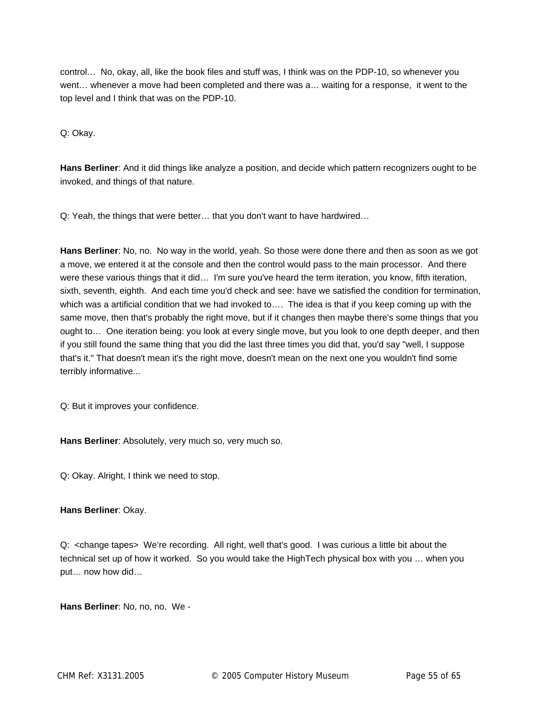control… No, okay, all, like the book files and stuff was, I think was on the PDP-10, so whenever you went… whenever a move had been completed and there was a… waiting for a response, it went to the top level and I think that was on the PDP-10.

Q: Okay.

**Hans Berliner**: And it did things like analyze a position, and decide which pattern recognizers ought to be invoked, and things of that nature.

Q: Yeah, the things that were better… that you don't want to have hardwired…

**Hans Berliner**: No, no. No way in the world, yeah. So those were done there and then as soon as we got a move, we entered it at the console and then the control would pass to the main processor. And there were these various things that it did… I'm sure you've heard the term iteration, you know, fifth iteration, sixth, seventh, eighth. And each time you'd check and see: have we satisfied the condition for termination, which was a artificial condition that we had invoked to…. The idea is that if you keep coming up with the same move, then that's probably the right move, but if it changes then maybe there's some things that you ought to… One iteration being: you look at every single move, but you look to one depth deeper, and then if you still found the same thing that you did the last three times you did that, you'd say "well, I suppose that's it." That doesn't mean it's the right move, doesn't mean on the next one you wouldn't find some terribly informative...

Q: But it improves your confidence.

**Hans Berliner**: Absolutely, very much so, very much so.

Q: Okay. Alright, I think we need to stop.

## **Hans Berliner**: Okay.

Q: <change tapes> We're recording. All right, well that's good. I was curious a little bit about the technical set up of how it worked. So you would take the HighTech physical box with you … when you put… now how did…

**Hans Berliner**: No, no, no. We -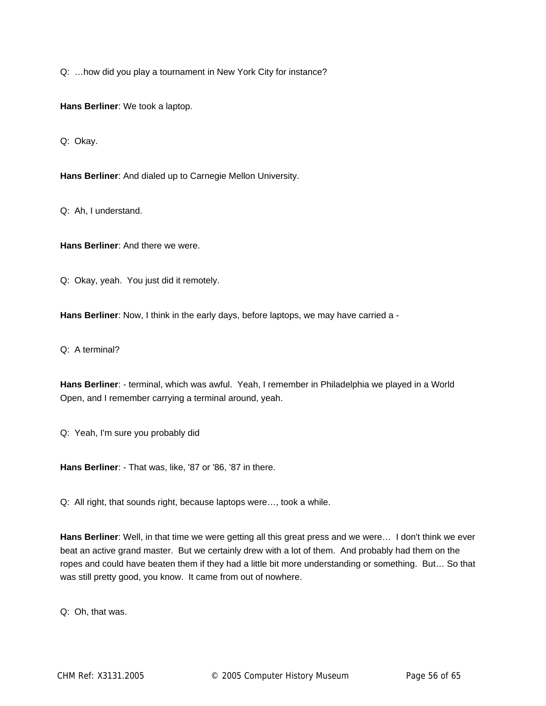Q: …how did you play a tournament in New York City for instance?

**Hans Berliner**: We took a laptop.

Q: Okay.

**Hans Berliner**: And dialed up to Carnegie Mellon University.

Q: Ah, I understand.

**Hans Berliner**: And there we were.

Q: Okay, yeah. You just did it remotely.

**Hans Berliner**: Now, I think in the early days, before laptops, we may have carried a -

Q: A terminal?

**Hans Berliner**: - terminal, which was awful. Yeah, I remember in Philadelphia we played in a World Open, and I remember carrying a terminal around, yeah.

Q: Yeah, I'm sure you probably did

**Hans Berliner**: - That was, like, '87 or '86, '87 in there.

Q: All right, that sounds right, because laptops were…, took a while.

**Hans Berliner**: Well, in that time we were getting all this great press and we were… I don't think we ever beat an active grand master. But we certainly drew with a lot of them. And probably had them on the ropes and could have beaten them if they had a little bit more understanding or something. But… So that was still pretty good, you know. It came from out of nowhere.

Q: Oh, that was.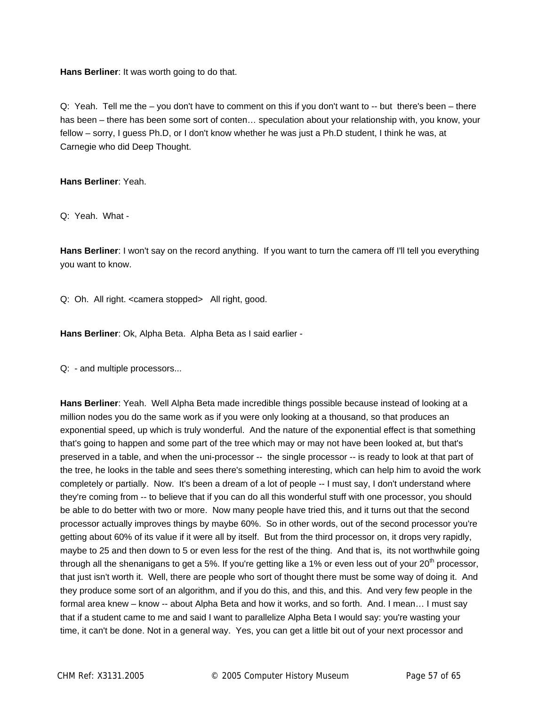**Hans Berliner**: It was worth going to do that.

Q: Yeah. Tell me the – you don't have to comment on this if you don't want to -- but there's been – there has been – there has been some sort of conten… speculation about your relationship with, you know, your fellow – sorry, I guess Ph.D, or I don't know whether he was just a Ph.D student, I think he was, at Carnegie who did Deep Thought.

**Hans Berliner**: Yeah.

Q: Yeah. What -

**Hans Berliner**: I won't say on the record anything. If you want to turn the camera off I'll tell you everything you want to know.

Q: Oh. All right. <camera stopped> All right, good.

**Hans Berliner**: Ok, Alpha Beta. Alpha Beta as I said earlier -

Q: - and multiple processors...

**Hans Berliner**: Yeah. Well Alpha Beta made incredible things possible because instead of looking at a million nodes you do the same work as if you were only looking at a thousand, so that produces an exponential speed, up which is truly wonderful. And the nature of the exponential effect is that something that's going to happen and some part of the tree which may or may not have been looked at, but that's preserved in a table, and when the uni-processor -- the single processor -- is ready to look at that part of the tree, he looks in the table and sees there's something interesting, which can help him to avoid the work completely or partially. Now. It's been a dream of a lot of people -- I must say, I don't understand where they're coming from -- to believe that if you can do all this wonderful stuff with one processor, you should be able to do better with two or more. Now many people have tried this, and it turns out that the second processor actually improves things by maybe 60%. So in other words, out of the second processor you're getting about 60% of its value if it were all by itself. But from the third processor on, it drops very rapidly, maybe to 25 and then down to 5 or even less for the rest of the thing. And that is, its not worthwhile going through all the shenanigans to get a 5%. If you're getting like a 1% or even less out of your 20<sup>th</sup> processor, that just isn't worth it. Well, there are people who sort of thought there must be some way of doing it. And they produce some sort of an algorithm, and if you do this, and this, and this. And very few people in the formal area knew – know -- about Alpha Beta and how it works, and so forth. And. I mean… I must say that if a student came to me and said I want to parallelize Alpha Beta I would say: you're wasting your time, it can't be done. Not in a general way. Yes, you can get a little bit out of your next processor and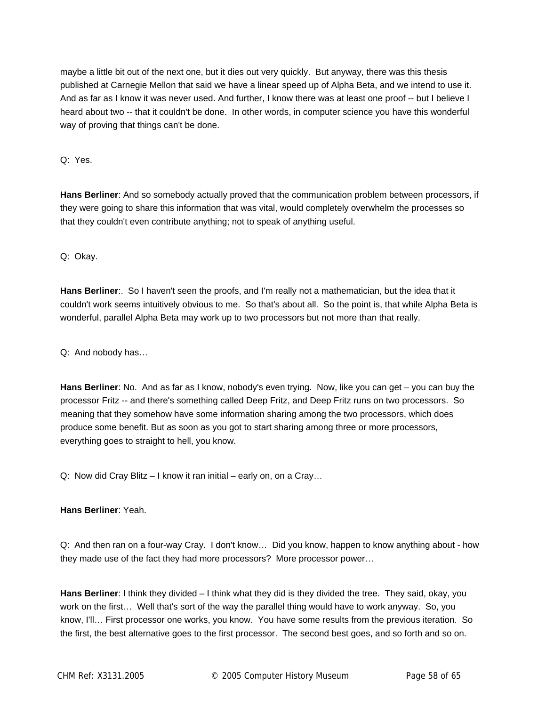maybe a little bit out of the next one, but it dies out very quickly. But anyway, there was this thesis published at Carnegie Mellon that said we have a linear speed up of Alpha Beta, and we intend to use it. And as far as I know it was never used. And further, I know there was at least one proof -- but I believe I heard about two -- that it couldn't be done. In other words, in computer science you have this wonderful way of proving that things can't be done.

Q: Yes.

**Hans Berliner**: And so somebody actually proved that the communication problem between processors, if they were going to share this information that was vital, would completely overwhelm the processes so that they couldn't even contribute anything; not to speak of anything useful.

Q: Okay.

**Hans Berliner**:. So I haven't seen the proofs, and I'm really not a mathematician, but the idea that it couldn't work seems intuitively obvious to me. So that's about all. So the point is, that while Alpha Beta is wonderful, parallel Alpha Beta may work up to two processors but not more than that really.

Q: And nobody has…

**Hans Berliner**: No. And as far as I know, nobody's even trying. Now, like you can get – you can buy the processor Fritz -- and there's something called Deep Fritz, and Deep Fritz runs on two processors. So meaning that they somehow have some information sharing among the two processors, which does produce some benefit. But as soon as you got to start sharing among three or more processors, everything goes to straight to hell, you know.

Q: Now did Cray Blitz – I know it ran initial – early on, on a Cray…

**Hans Berliner**: Yeah.

Q: And then ran on a four-way Cray. I don't know… Did you know, happen to know anything about - how they made use of the fact they had more processors? More processor power…

**Hans Berliner**: I think they divided – I think what they did is they divided the tree. They said, okay, you work on the first… Well that's sort of the way the parallel thing would have to work anyway. So, you know, I'll… First processor one works, you know. You have some results from the previous iteration. So the first, the best alternative goes to the first processor. The second best goes, and so forth and so on.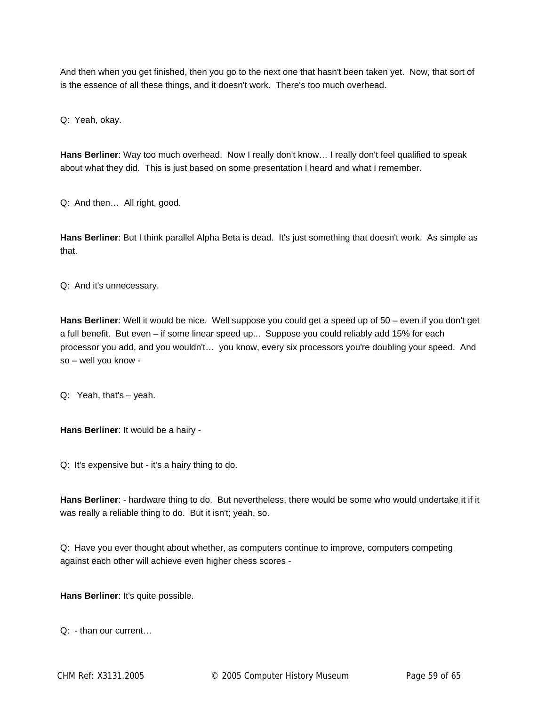And then when you get finished, then you go to the next one that hasn't been taken yet. Now, that sort of is the essence of all these things, and it doesn't work. There's too much overhead.

Q: Yeah, okay.

**Hans Berliner**: Way too much overhead. Now I really don't know… I really don't feel qualified to speak about what they did. This is just based on some presentation I heard and what I remember.

Q: And then… All right, good.

**Hans Berliner**: But I think parallel Alpha Beta is dead. It's just something that doesn't work. As simple as that.

Q: And it's unnecessary.

**Hans Berliner**: Well it would be nice. Well suppose you could get a speed up of 50 – even if you don't get a full benefit. But even – if some linear speed up... Suppose you could reliably add 15% for each processor you add, and you wouldn't… you know, every six processors you're doubling your speed. And so – well you know -

Q: Yeah, that's – yeah.

**Hans Berliner**: It would be a hairy -

Q: It's expensive but - it's a hairy thing to do.

**Hans Berliner**: - hardware thing to do. But nevertheless, there would be some who would undertake it if it was really a reliable thing to do. But it isn't; yeah, so.

Q: Have you ever thought about whether, as computers continue to improve, computers competing against each other will achieve even higher chess scores -

**Hans Berliner**: It's quite possible.

Q: - than our current…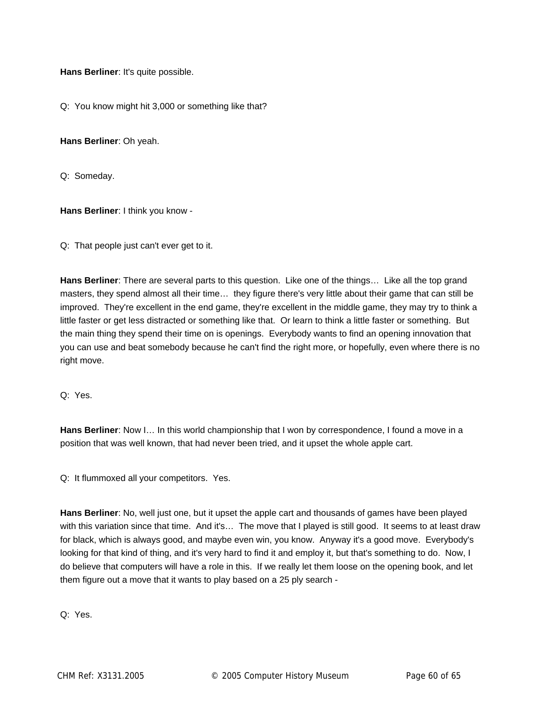**Hans Berliner**: It's quite possible.

Q: You know might hit 3,000 or something like that?

**Hans Berliner**: Oh yeah.

Q: Someday.

**Hans Berliner**: I think you know -

Q: That people just can't ever get to it.

**Hans Berliner**: There are several parts to this question. Like one of the things… Like all the top grand masters, they spend almost all their time… they figure there's very little about their game that can still be improved. They're excellent in the end game, they're excellent in the middle game, they may try to think a little faster or get less distracted or something like that. Or learn to think a little faster or something. But the main thing they spend their time on is openings. Everybody wants to find an opening innovation that you can use and beat somebody because he can't find the right more, or hopefully, even where there is no right move.

Q: Yes.

**Hans Berliner**: Now I… In this world championship that I won by correspondence, I found a move in a position that was well known, that had never been tried, and it upset the whole apple cart.

Q: It flummoxed all your competitors. Yes.

**Hans Berliner**: No, well just one, but it upset the apple cart and thousands of games have been played with this variation since that time. And it's… The move that I played is still good. It seems to at least draw for black, which is always good, and maybe even win, you know. Anyway it's a good move. Everybody's looking for that kind of thing, and it's very hard to find it and employ it, but that's something to do. Now, I do believe that computers will have a role in this. If we really let them loose on the opening book, and let them figure out a move that it wants to play based on a 25 ply search -

Q: Yes.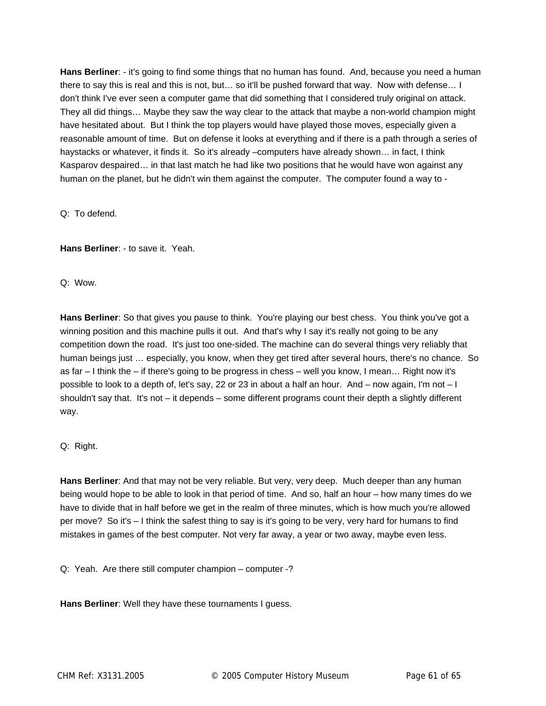**Hans Berliner**: - it's going to find some things that no human has found. And, because you need a human there to say this is real and this is not, but… so it'll be pushed forward that way. Now with defense… I don't think I've ever seen a computer game that did something that I considered truly original on attack. They all did things… Maybe they saw the way clear to the attack that maybe a non-world champion might have hesitated about. But I think the top players would have played those moves, especially given a reasonable amount of time. But on defense it looks at everything and if there is a path through a series of haystacks or whatever, it finds it. So it's already –computers have already shown... in fact, I think Kasparov despaired… in that last match he had like two positions that he would have won against any human on the planet, but he didn't win them against the computer. The computer found a way to -

Q: To defend.

**Hans Berliner**: - to save it. Yeah.

Q: Wow.

**Hans Berliner**: So that gives you pause to think. You're playing our best chess. You think you've got a winning position and this machine pulls it out. And that's why I say it's really not going to be any competition down the road. It's just too one-sided. The machine can do several things very reliably that human beings just … especially, you know, when they get tired after several hours, there's no chance. So as far – I think the – if there's going to be progress in chess – well you know, I mean… Right now it's possible to look to a depth of, let's say, 22 or 23 in about a half an hour. And – now again, I'm not – I shouldn't say that. It's not – it depends – some different programs count their depth a slightly different way.

Q: Right.

**Hans Berliner**: And that may not be very reliable. But very, very deep. Much deeper than any human being would hope to be able to look in that period of time. And so, half an hour – how many times do we have to divide that in half before we get in the realm of three minutes, which is how much you're allowed per move? So it's – I think the safest thing to say is it's going to be very, very hard for humans to find mistakes in games of the best computer. Not very far away, a year or two away, maybe even less.

Q: Yeah. Are there still computer champion – computer -?

**Hans Berliner**: Well they have these tournaments I guess.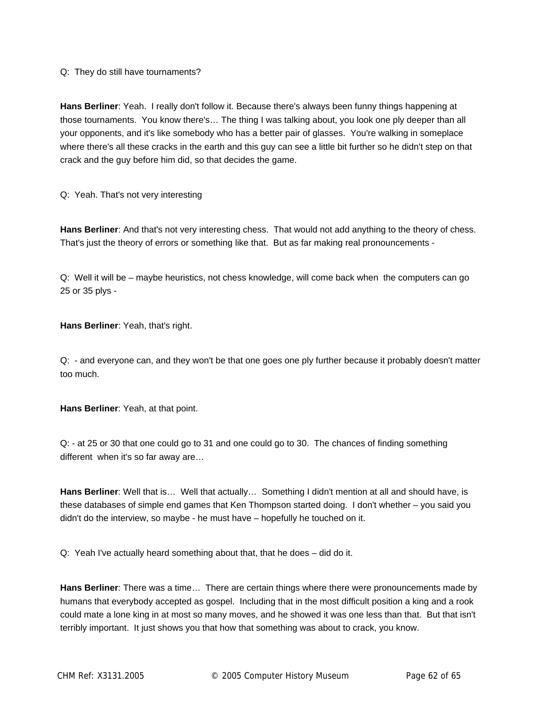Q: They do still have tournaments?

**Hans Berliner**: Yeah. I really don't follow it. Because there's always been funny things happening at those tournaments. You know there's… The thing I was talking about, you look one ply deeper than all your opponents, and it's like somebody who has a better pair of glasses. You're walking in someplace where there's all these cracks in the earth and this guy can see a little bit further so he didn't step on that crack and the guy before him did, so that decides the game.

Q: Yeah. That's not very interesting

**Hans Berliner**: And that's not very interesting chess. That would not add anything to the theory of chess. That's just the theory of errors or something like that. But as far making real pronouncements -

Q: Well it will be – maybe heuristics, not chess knowledge, will come back when the computers can go 25 or 35 plys -

**Hans Berliner**: Yeah, that's right.

Q: - and everyone can, and they won't be that one goes one ply further because it probably doesn't matter too much.

**Hans Berliner**: Yeah, at that point.

Q: - at 25 or 30 that one could go to 31 and one could go to 30. The chances of finding something different when it's so far away are…

**Hans Berliner**: Well that is… Well that actually… Something I didn't mention at all and should have, is these databases of simple end games that Ken Thompson started doing. I don't whether – you said you didn't do the interview, so maybe - he must have – hopefully he touched on it.

Q: Yeah I've actually heard something about that, that he does – did do it.

**Hans Berliner**: There was a time… There are certain things where there were pronouncements made by humans that everybody accepted as gospel. Including that in the most difficult position a king and a rook could mate a lone king in at most so many moves, and he showed it was one less than that. But that isn't terribly important. It just shows you that how that something was about to crack, you know.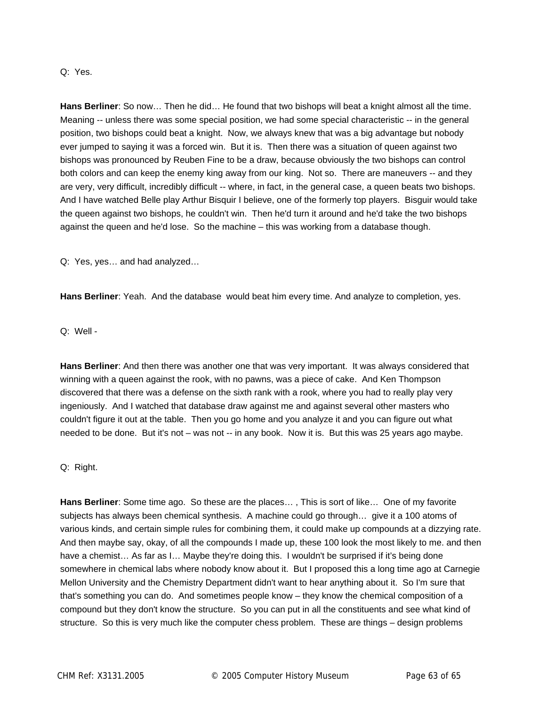#### Q: Yes.

**Hans Berliner**: So now… Then he did… He found that two bishops will beat a knight almost all the time. Meaning -- unless there was some special position, we had some special characteristic -- in the general position, two bishops could beat a knight. Now, we always knew that was a big advantage but nobody ever jumped to saying it was a forced win. But it is. Then there was a situation of queen against two bishops was pronounced by Reuben Fine to be a draw, because obviously the two bishops can control both colors and can keep the enemy king away from our king. Not so. There are maneuvers -- and they are very, very difficult, incredibly difficult -- where, in fact, in the general case, a queen beats two bishops. And I have watched Belle play Arthur Bisquir I believe, one of the formerly top players. Bisguir would take the queen against two bishops, he couldn't win. Then he'd turn it around and he'd take the two bishops against the queen and he'd lose. So the machine – this was working from a database though.

Q: Yes, yes… and had analyzed…

**Hans Berliner**: Yeah. And the database would beat him every time. And analyze to completion, yes.

Q: Well -

**Hans Berliner**: And then there was another one that was very important. It was always considered that winning with a queen against the rook, with no pawns, was a piece of cake. And Ken Thompson discovered that there was a defense on the sixth rank with a rook, where you had to really play very ingeniously. And I watched that database draw against me and against several other masters who couldn't figure it out at the table. Then you go home and you analyze it and you can figure out what needed to be done. But it's not – was not -- in any book. Now it is. But this was 25 years ago maybe.

Q: Right.

**Hans Berliner**: Some time ago. So these are the places… , This is sort of like… One of my favorite subjects has always been chemical synthesis. A machine could go through… give it a 100 atoms of various kinds, and certain simple rules for combining them, it could make up compounds at a dizzying rate. And then maybe say, okay, of all the compounds I made up, these 100 look the most likely to me. and then have a chemist... As far as I... Maybe they're doing this. I wouldn't be surprised if it's being done somewhere in chemical labs where nobody know about it. But I proposed this a long time ago at Carnegie Mellon University and the Chemistry Department didn't want to hear anything about it. So I'm sure that that's something you can do. And sometimes people know – they know the chemical composition of a compound but they don't know the structure. So you can put in all the constituents and see what kind of structure. So this is very much like the computer chess problem. These are things – design problems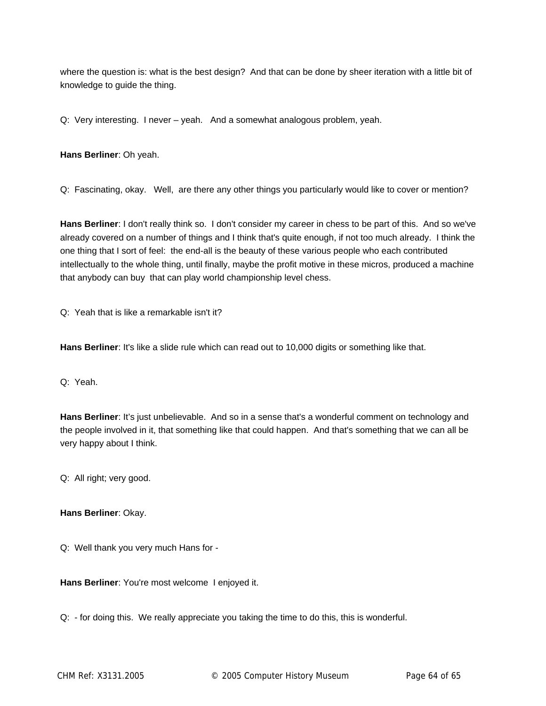where the question is: what is the best design? And that can be done by sheer iteration with a little bit of knowledge to guide the thing.

Q: Very interesting. I never – yeah. And a somewhat analogous problem, yeah.

**Hans Berliner**: Oh yeah.

Q: Fascinating, okay. Well, are there any other things you particularly would like to cover or mention?

**Hans Berliner**: I don't really think so. I don't consider my career in chess to be part of this. And so we've already covered on a number of things and I think that's quite enough, if not too much already. I think the one thing that I sort of feel: the end-all is the beauty of these various people who each contributed intellectually to the whole thing, until finally, maybe the profit motive in these micros, produced a machine that anybody can buy that can play world championship level chess.

Q: Yeah that is like a remarkable isn't it?

**Hans Berliner**: It's like a slide rule which can read out to 10,000 digits or something like that.

Q: Yeah.

**Hans Berliner**: It's just unbelievable. And so in a sense that's a wonderful comment on technology and the people involved in it, that something like that could happen. And that's something that we can all be very happy about I think.

Q: All right; very good.

**Hans Berliner**: Okay.

Q: Well thank you very much Hans for -

**Hans Berliner**: You're most welcome I enjoyed it.

Q: - for doing this. We really appreciate you taking the time to do this, this is wonderful.